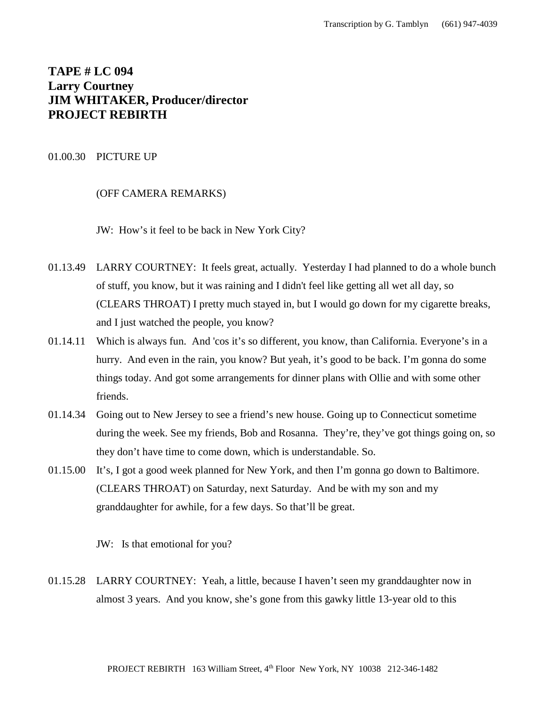# **TAPE # LC 094 Larry Courtney JIM WHITAKER, Producer/director PROJECT REBIRTH**

# 01.00.30 PICTURE UP

# (OFF CAMERA REMARKS)

JW: How's it feel to be back in New York City?

- 01.13.49 LARRY COURTNEY: It feels great, actually. Yesterday I had planned to do a whole bunch of stuff, you know, but it was raining and I didn't feel like getting all wet all day, so (CLEARS THROAT) I pretty much stayed in, but I would go down for my cigarette breaks, and I just watched the people, you know?
- 01.14.11 Which is always fun. And 'cos it's so different, you know, than California. Everyone's in a hurry. And even in the rain, you know? But yeah, it's good to be back. I'm gonna do some things today. And got some arrangements for dinner plans with Ollie and with some other friends.
- 01.14.34 Going out to New Jersey to see a friend's new house. Going up to Connecticut sometime during the week. See my friends, Bob and Rosanna. They're, they've got things going on, so they don't have time to come down, which is understandable. So.
- 01.15.00 It's, I got a good week planned for New York, and then I'm gonna go down to Baltimore. (CLEARS THROAT) on Saturday, next Saturday. And be with my son and my granddaughter for awhile, for a few days. So that'll be great.

JW: Is that emotional for you?

01.15.28 LARRY COURTNEY: Yeah, a little, because I haven't seen my granddaughter now in almost 3 years. And you know, she's gone from this gawky little 13-year old to this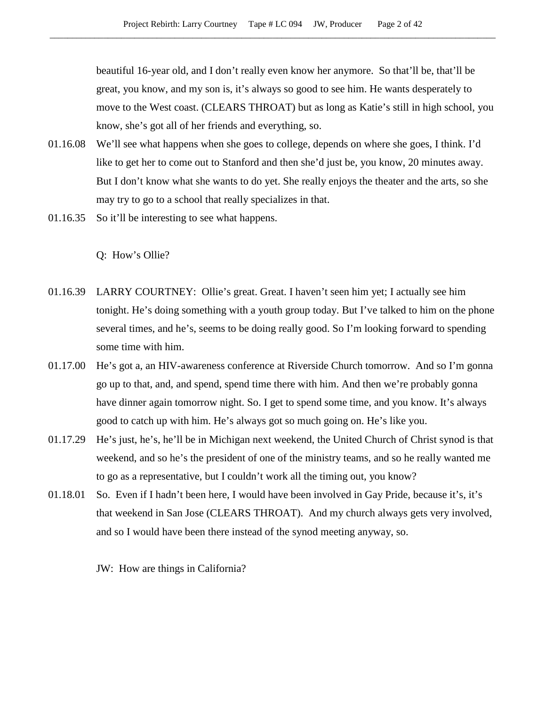beautiful 16-year old, and I don't really even know her anymore. So that'll be, that'll be great, you know, and my son is, it's always so good to see him. He wants desperately to move to the West coast. (CLEARS THROAT) but as long as Katie's still in high school, you know, she's got all of her friends and everything, so.

- 01.16.08 We'll see what happens when she goes to college, depends on where she goes, I think. I'd like to get her to come out to Stanford and then she'd just be, you know, 20 minutes away. But I don't know what she wants to do yet. She really enjoys the theater and the arts, so she may try to go to a school that really specializes in that.
- 01.16.35 So it'll be interesting to see what happens.

Q: How's Ollie?

- 01.16.39 LARRY COURTNEY: Ollie's great. Great. I haven't seen him yet; I actually see him tonight. He's doing something with a youth group today. But I've talked to him on the phone several times, and he's, seems to be doing really good. So I'm looking forward to spending some time with him.
- 01.17.00 He's got a, an HIV-awareness conference at Riverside Church tomorrow. And so I'm gonna go up to that, and, and spend, spend time there with him. And then we're probably gonna have dinner again tomorrow night. So. I get to spend some time, and you know. It's always good to catch up with him. He's always got so much going on. He's like you.
- 01.17.29 He's just, he's, he'll be in Michigan next weekend, the United Church of Christ synod is that weekend, and so he's the president of one of the ministry teams, and so he really wanted me to go as a representative, but I couldn't work all the timing out, you know?
- 01.18.01 So. Even if I hadn't been here, I would have been involved in Gay Pride, because it's, it's that weekend in San Jose (CLEARS THROAT). And my church always gets very involved, and so I would have been there instead of the synod meeting anyway, so.

JW: How are things in California?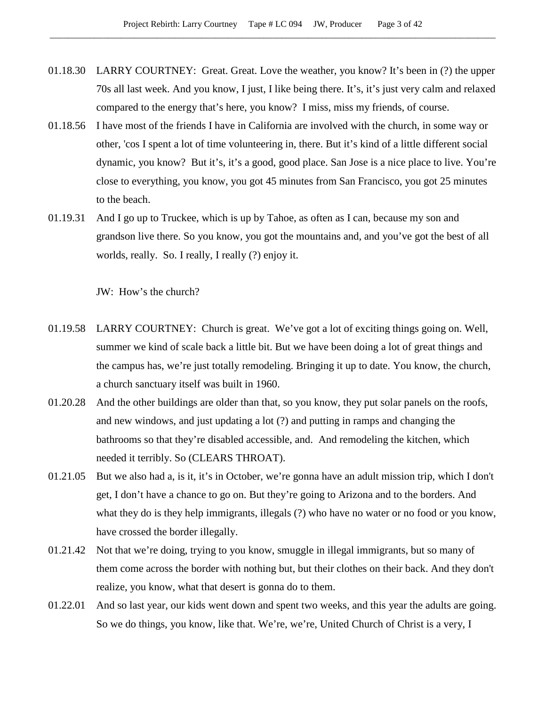- 01.18.30 LARRY COURTNEY: Great. Great. Love the weather, you know? It's been in (?) the upper 70s all last week. And you know, I just, I like being there. It's, it's just very calm and relaxed compared to the energy that's here, you know? I miss, miss my friends, of course.
- 01.18.56 I have most of the friends I have in California are involved with the church, in some way or other, 'cos I spent a lot of time volunteering in, there. But it's kind of a little different social dynamic, you know? But it's, it's a good, good place. San Jose is a nice place to live. You're close to everything, you know, you got 45 minutes from San Francisco, you got 25 minutes to the beach.
- 01.19.31 And I go up to Truckee, which is up by Tahoe, as often as I can, because my son and grandson live there. So you know, you got the mountains and, and you've got the best of all worlds, really. So. I really, I really (?) enjoy it.

JW: How's the church?

- 01.19.58 LARRY COURTNEY: Church is great. We've got a lot of exciting things going on. Well, summer we kind of scale back a little bit. But we have been doing a lot of great things and the campus has, we're just totally remodeling. Bringing it up to date. You know, the church, a church sanctuary itself was built in 1960.
- 01.20.28 And the other buildings are older than that, so you know, they put solar panels on the roofs, and new windows, and just updating a lot (?) and putting in ramps and changing the bathrooms so that they're disabled accessible, and. And remodeling the kitchen, which needed it terribly. So (CLEARS THROAT).
- 01.21.05 But we also had a, is it, it's in October, we're gonna have an adult mission trip, which I don't get, I don't have a chance to go on. But they're going to Arizona and to the borders. And what they do is they help immigrants, illegals (?) who have no water or no food or you know, have crossed the border illegally.
- 01.21.42 Not that we're doing, trying to you know, smuggle in illegal immigrants, but so many of them come across the border with nothing but, but their clothes on their back. And they don't realize, you know, what that desert is gonna do to them.
- 01.22.01 And so last year, our kids went down and spent two weeks, and this year the adults are going. So we do things, you know, like that. We're, we're, United Church of Christ is a very, I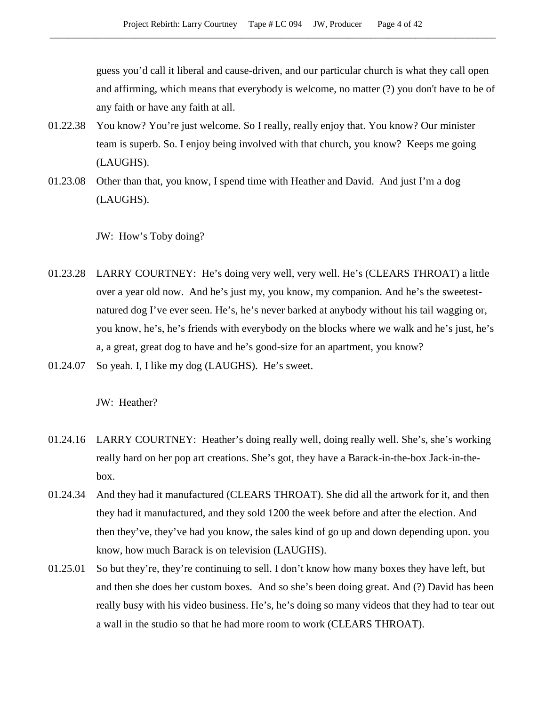guess you'd call it liberal and cause-driven, and our particular church is what they call open and affirming, which means that everybody is welcome, no matter (?) you don't have to be of any faith or have any faith at all.

- 01.22.38 You know? You're just welcome. So I really, really enjoy that. You know? Our minister team is superb. So. I enjoy being involved with that church, you know? Keeps me going (LAUGHS).
- 01.23.08 Other than that, you know, I spend time with Heather and David. And just I'm a dog (LAUGHS).

JW: How's Toby doing?

- 01.23.28 LARRY COURTNEY: He's doing very well, very well. He's (CLEARS THROAT) a little over a year old now. And he's just my, you know, my companion. And he's the sweetestnatured dog I've ever seen. He's, he's never barked at anybody without his tail wagging or, you know, he's, he's friends with everybody on the blocks where we walk and he's just, he's a, a great, great dog to have and he's good-size for an apartment, you know?
- 01.24.07 So yeah. I, I like my dog (LAUGHS). He's sweet.

JW: Heather?

- 01.24.16 LARRY COURTNEY: Heather's doing really well, doing really well. She's, she's working really hard on her pop art creations. She's got, they have a Barack-in-the-box Jack-in-thebox.
- 01.24.34 And they had it manufactured (CLEARS THROAT). She did all the artwork for it, and then they had it manufactured, and they sold 1200 the week before and after the election. And then they've, they've had you know, the sales kind of go up and down depending upon. you know, how much Barack is on television (LAUGHS).
- 01.25.01 So but they're, they're continuing to sell. I don't know how many boxes they have left, but and then she does her custom boxes. And so she's been doing great. And (?) David has been really busy with his video business. He's, he's doing so many videos that they had to tear out a wall in the studio so that he had more room to work (CLEARS THROAT).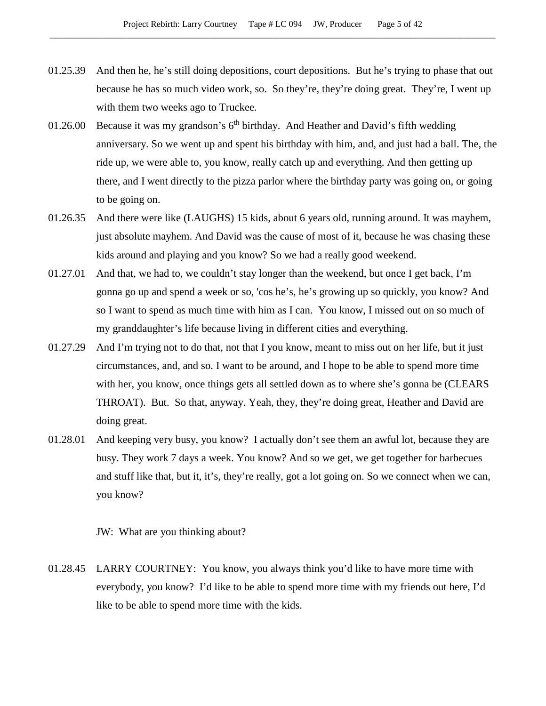- 01.25.39 And then he, he's still doing depositions, court depositions. But he's trying to phase that out because he has so much video work, so. So they're, they're doing great. They're, I went up with them two weeks ago to Truckee.
- 01.26.00 Because it was my grandson's  $6<sup>th</sup>$  birthday. And Heather and David's fifth wedding anniversary. So we went up and spent his birthday with him, and, and just had a ball. The, the ride up, we were able to, you know, really catch up and everything. And then getting up there, and I went directly to the pizza parlor where the birthday party was going on, or going to be going on.
- 01.26.35 And there were like (LAUGHS) 15 kids, about 6 years old, running around. It was mayhem, just absolute mayhem. And David was the cause of most of it, because he was chasing these kids around and playing and you know? So we had a really good weekend.
- 01.27.01 And that, we had to, we couldn't stay longer than the weekend, but once I get back, I'm gonna go up and spend a week or so, 'cos he's, he's growing up so quickly, you know? And so I want to spend as much time with him as I can. You know, I missed out on so much of my granddaughter's life because living in different cities and everything.
- 01.27.29 And I'm trying not to do that, not that I you know, meant to miss out on her life, but it just circumstances, and, and so. I want to be around, and I hope to be able to spend more time with her, you know, once things gets all settled down as to where she's gonna be (CLEARS THROAT). But. So that, anyway. Yeah, they, they're doing great, Heather and David are doing great.
- 01.28.01 And keeping very busy, you know? I actually don't see them an awful lot, because they are busy. They work 7 days a week. You know? And so we get, we get together for barbecues and stuff like that, but it, it's, they're really, got a lot going on. So we connect when we can, you know?

JW: What are you thinking about?

01.28.45 LARRY COURTNEY: You know, you always think you'd like to have more time with everybody, you know? I'd like to be able to spend more time with my friends out here, I'd like to be able to spend more time with the kids.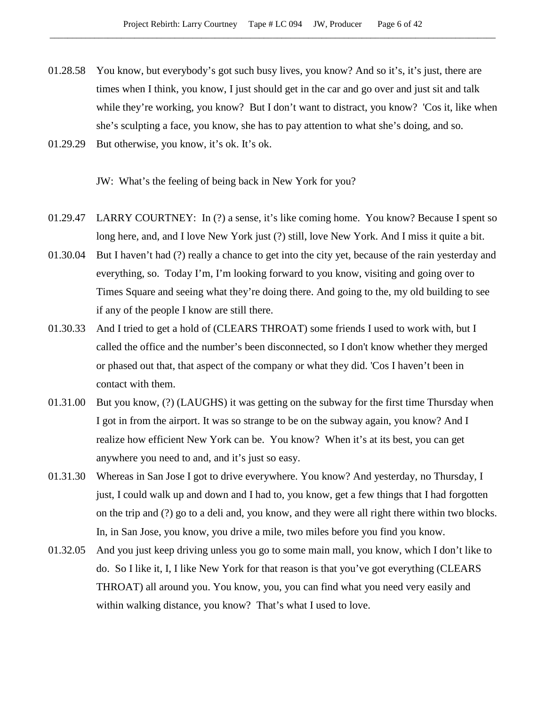- 01.28.58 You know, but everybody's got such busy lives, you know? And so it's, it's just, there are times when I think, you know, I just should get in the car and go over and just sit and talk while they're working, you know? But I don't want to distract, you know? 'Cos it, like when she's sculpting a face, you know, she has to pay attention to what she's doing, and so.
- 01.29.29 But otherwise, you know, it's ok. It's ok.

JW: What's the feeling of being back in New York for you?

- 01.29.47 LARRY COURTNEY: In (?) a sense, it's like coming home. You know? Because I spent so long here, and, and I love New York just (?) still, love New York. And I miss it quite a bit.
- 01.30.04 But I haven't had (?) really a chance to get into the city yet, because of the rain yesterday and everything, so. Today I'm, I'm looking forward to you know, visiting and going over to Times Square and seeing what they're doing there. And going to the, my old building to see if any of the people I know are still there.
- 01.30.33 And I tried to get a hold of (CLEARS THROAT) some friends I used to work with, but I called the office and the number's been disconnected, so I don't know whether they merged or phased out that, that aspect of the company or what they did. 'Cos I haven't been in contact with them.
- 01.31.00 But you know, (?) (LAUGHS) it was getting on the subway for the first time Thursday when I got in from the airport. It was so strange to be on the subway again, you know? And I realize how efficient New York can be. You know? When it's at its best, you can get anywhere you need to and, and it's just so easy.
- 01.31.30 Whereas in San Jose I got to drive everywhere. You know? And yesterday, no Thursday, I just, I could walk up and down and I had to, you know, get a few things that I had forgotten on the trip and (?) go to a deli and, you know, and they were all right there within two blocks. In, in San Jose, you know, you drive a mile, two miles before you find you know.
- 01.32.05 And you just keep driving unless you go to some main mall, you know, which I don't like to do. So I like it, I, I like New York for that reason is that you've got everything (CLEARS THROAT) all around you. You know, you, you can find what you need very easily and within walking distance, you know? That's what I used to love.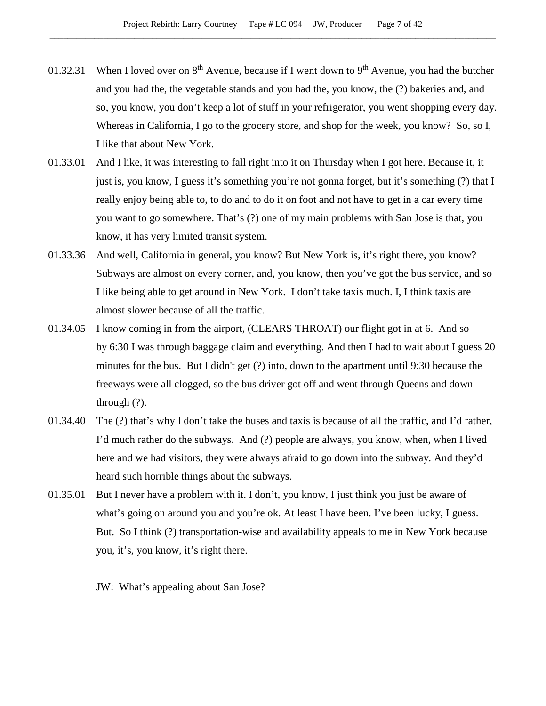- 01.32.31 When I loved over on  $8<sup>th</sup>$  Avenue, because if I went down to  $9<sup>th</sup>$  Avenue, you had the butcher and you had the, the vegetable stands and you had the, you know, the (?) bakeries and, and so, you know, you don't keep a lot of stuff in your refrigerator, you went shopping every day. Whereas in California, I go to the grocery store, and shop for the week, you know? So, so I, I like that about New York.
- 01.33.01 And I like, it was interesting to fall right into it on Thursday when I got here. Because it, it just is, you know, I guess it's something you're not gonna forget, but it's something (?) that I really enjoy being able to, to do and to do it on foot and not have to get in a car every time you want to go somewhere. That's (?) one of my main problems with San Jose is that, you know, it has very limited transit system.
- 01.33.36 And well, California in general, you know? But New York is, it's right there, you know? Subways are almost on every corner, and, you know, then you've got the bus service, and so I like being able to get around in New York. I don't take taxis much. I, I think taxis are almost slower because of all the traffic.
- 01.34.05 I know coming in from the airport, (CLEARS THROAT) our flight got in at 6. And so by 6:30 I was through baggage claim and everything. And then I had to wait about I guess 20 minutes for the bus. But I didn't get (?) into, down to the apartment until 9:30 because the freeways were all clogged, so the bus driver got off and went through Queens and down through (?).
- 01.34.40 The (?) that's why I don't take the buses and taxis is because of all the traffic, and I'd rather, I'd much rather do the subways. And (?) people are always, you know, when, when I lived here and we had visitors, they were always afraid to go down into the subway. And they'd heard such horrible things about the subways.
- 01.35.01 But I never have a problem with it. I don't, you know, I just think you just be aware of what's going on around you and you're ok. At least I have been. I've been lucky, I guess. But. So I think (?) transportation-wise and availability appeals to me in New York because you, it's, you know, it's right there.

JW: What's appealing about San Jose?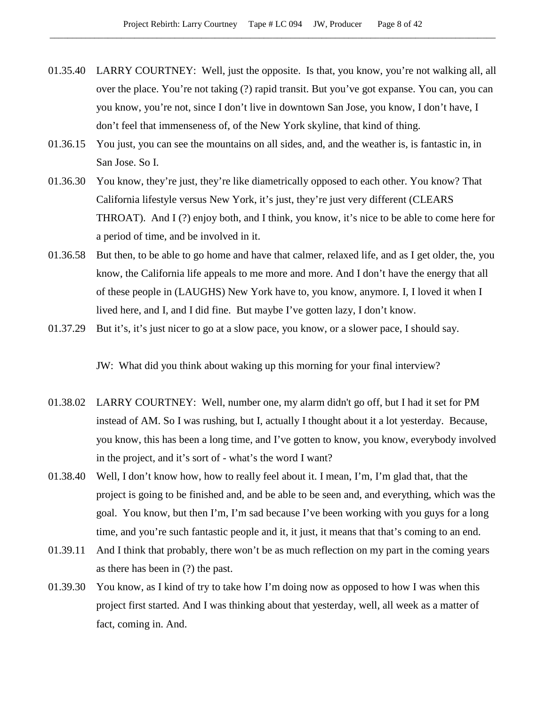- 01.35.40 LARRY COURTNEY: Well, just the opposite. Is that, you know, you're not walking all, all over the place. You're not taking (?) rapid transit. But you've got expanse. You can, you can you know, you're not, since I don't live in downtown San Jose, you know, I don't have, I don't feel that immenseness of, of the New York skyline, that kind of thing.
- 01.36.15 You just, you can see the mountains on all sides, and, and the weather is, is fantastic in, in San Jose. So I.
- 01.36.30 You know, they're just, they're like diametrically opposed to each other. You know? That California lifestyle versus New York, it's just, they're just very different (CLEARS THROAT). And I (?) enjoy both, and I think, you know, it's nice to be able to come here for a period of time, and be involved in it.
- 01.36.58 But then, to be able to go home and have that calmer, relaxed life, and as I get older, the, you know, the California life appeals to me more and more. And I don't have the energy that all of these people in (LAUGHS) New York have to, you know, anymore. I, I loved it when I lived here, and I, and I did fine. But maybe I've gotten lazy, I don't know.
- 01.37.29 But it's, it's just nicer to go at a slow pace, you know, or a slower pace, I should say.

JW: What did you think about waking up this morning for your final interview?

- 01.38.02 LARRY COURTNEY: Well, number one, my alarm didn't go off, but I had it set for PM instead of AM. So I was rushing, but I, actually I thought about it a lot yesterday. Because, you know, this has been a long time, and I've gotten to know, you know, everybody involved in the project, and it's sort of - what's the word I want?
- 01.38.40 Well, I don't know how, how to really feel about it. I mean, I'm, I'm glad that, that the project is going to be finished and, and be able to be seen and, and everything, which was the goal. You know, but then I'm, I'm sad because I've been working with you guys for a long time, and you're such fantastic people and it, it just, it means that that's coming to an end.
- 01.39.11 And I think that probably, there won't be as much reflection on my part in the coming years as there has been in (?) the past.
- 01.39.30 You know, as I kind of try to take how I'm doing now as opposed to how I was when this project first started. And I was thinking about that yesterday, well, all week as a matter of fact, coming in. And.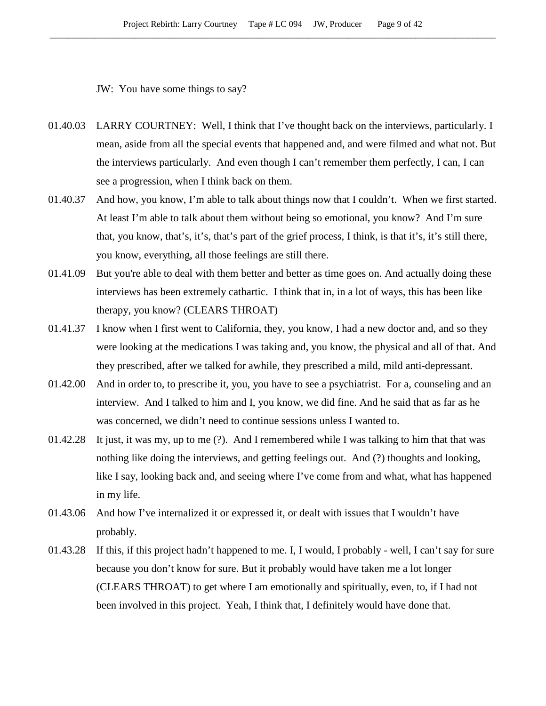JW: You have some things to say?

- 01.40.03 LARRY COURTNEY: Well, I think that I've thought back on the interviews, particularly. I mean, aside from all the special events that happened and, and were filmed and what not. But the interviews particularly. And even though I can't remember them perfectly, I can, I can see a progression, when I think back on them.
- 01.40.37 And how, you know, I'm able to talk about things now that I couldn't. When we first started. At least I'm able to talk about them without being so emotional, you know? And I'm sure that, you know, that's, it's, that's part of the grief process, I think, is that it's, it's still there, you know, everything, all those feelings are still there.
- 01.41.09 But you're able to deal with them better and better as time goes on. And actually doing these interviews has been extremely cathartic. I think that in, in a lot of ways, this has been like therapy, you know? (CLEARS THROAT)
- 01.41.37 I know when I first went to California, they, you know, I had a new doctor and, and so they were looking at the medications I was taking and, you know, the physical and all of that. And they prescribed, after we talked for awhile, they prescribed a mild, mild anti-depressant.
- 01.42.00 And in order to, to prescribe it, you, you have to see a psychiatrist. For a, counseling and an interview. And I talked to him and I, you know, we did fine. And he said that as far as he was concerned, we didn't need to continue sessions unless I wanted to.
- 01.42.28 It just, it was my, up to me (?). And I remembered while I was talking to him that that was nothing like doing the interviews, and getting feelings out. And (?) thoughts and looking, like I say, looking back and, and seeing where I've come from and what, what has happened in my life.
- 01.43.06 And how I've internalized it or expressed it, or dealt with issues that I wouldn't have probably.
- 01.43.28 If this, if this project hadn't happened to me. I, I would, I probably well, I can't say for sure because you don't know for sure. But it probably would have taken me a lot longer (CLEARS THROAT) to get where I am emotionally and spiritually, even, to, if I had not been involved in this project. Yeah, I think that, I definitely would have done that.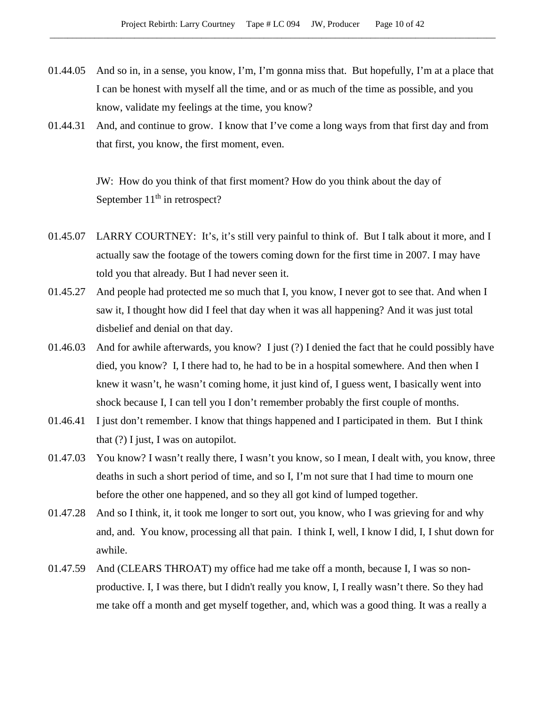- 01.44.05 And so in, in a sense, you know, I'm, I'm gonna miss that. But hopefully, I'm at a place that I can be honest with myself all the time, and or as much of the time as possible, and you know, validate my feelings at the time, you know?
- 01.44.31 And, and continue to grow. I know that I've come a long ways from that first day and from that first, you know, the first moment, even.

JW: How do you think of that first moment? How do you think about the day of September  $11<sup>th</sup>$  in retrospect?

- 01.45.07 LARRY COURTNEY: It's, it's still very painful to think of. But I talk about it more, and I actually saw the footage of the towers coming down for the first time in 2007. I may have told you that already. But I had never seen it.
- 01.45.27 And people had protected me so much that I, you know, I never got to see that. And when I saw it, I thought how did I feel that day when it was all happening? And it was just total disbelief and denial on that day.
- 01.46.03 And for awhile afterwards, you know? I just (?) I denied the fact that he could possibly have died, you know? I, I there had to, he had to be in a hospital somewhere. And then when I knew it wasn't, he wasn't coming home, it just kind of, I guess went, I basically went into shock because I, I can tell you I don't remember probably the first couple of months.
- 01.46.41 I just don't remember. I know that things happened and I participated in them. But I think that (?) I just, I was on autopilot.
- 01.47.03 You know? I wasn't really there, I wasn't you know, so I mean, I dealt with, you know, three deaths in such a short period of time, and so I, I'm not sure that I had time to mourn one before the other one happened, and so they all got kind of lumped together.
- 01.47.28 And so I think, it, it took me longer to sort out, you know, who I was grieving for and why and, and. You know, processing all that pain. I think I, well, I know I did, I, I shut down for awhile.
- 01.47.59 And (CLEARS THROAT) my office had me take off a month, because I, I was so nonproductive. I, I was there, but I didn't really you know, I, I really wasn't there. So they had me take off a month and get myself together, and, which was a good thing. It was a really a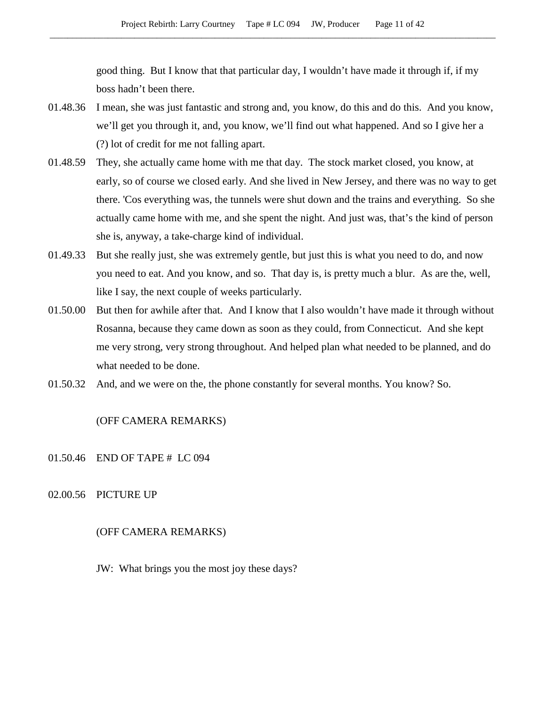good thing. But I know that that particular day, I wouldn't have made it through if, if my boss hadn't been there.

- 01.48.36 I mean, she was just fantastic and strong and, you know, do this and do this. And you know, we'll get you through it, and, you know, we'll find out what happened. And so I give her a (?) lot of credit for me not falling apart.
- 01.48.59 They, she actually came home with me that day. The stock market closed, you know, at early, so of course we closed early. And she lived in New Jersey, and there was no way to get there. 'Cos everything was, the tunnels were shut down and the trains and everything. So she actually came home with me, and she spent the night. And just was, that's the kind of person she is, anyway, a take-charge kind of individual.
- 01.49.33 But she really just, she was extremely gentle, but just this is what you need to do, and now you need to eat. And you know, and so. That day is, is pretty much a blur. As are the, well, like I say, the next couple of weeks particularly.
- 01.50.00 But then for awhile after that. And I know that I also wouldn't have made it through without Rosanna, because they came down as soon as they could, from Connecticut. And she kept me very strong, very strong throughout. And helped plan what needed to be planned, and do what needed to be done.
- 01.50.32 And, and we were on the, the phone constantly for several months. You know? So.

# (OFF CAMERA REMARKS)

01.50.46 END OF TAPE # LC 094

# 02.00.56 PICTURE UP

## (OFF CAMERA REMARKS)

JW: What brings you the most joy these days?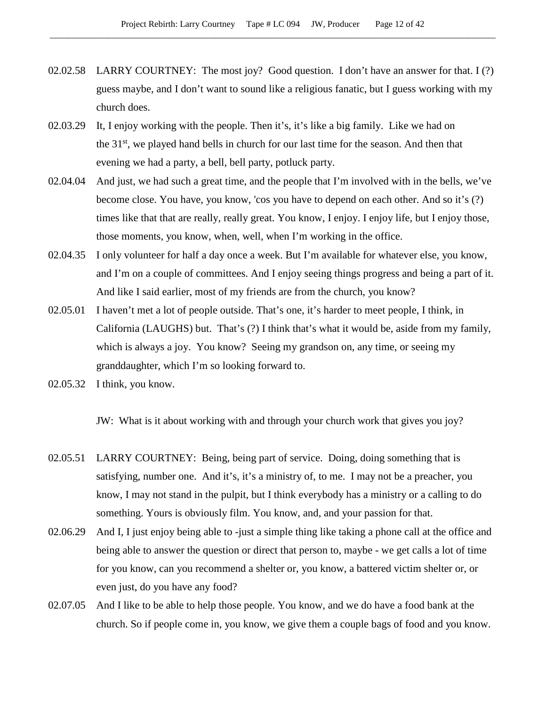- 02.02.58 LARRY COURTNEY: The most joy? Good question. I don't have an answer for that. I (?) guess maybe, and I don't want to sound like a religious fanatic, but I guess working with my church does.
- 02.03.29 It, I enjoy working with the people. Then it's, it's like a big family. Like we had on the  $31<sup>st</sup>$ , we played hand bells in church for our last time for the season. And then that evening we had a party, a bell, bell party, potluck party.
- 02.04.04 And just, we had such a great time, and the people that I'm involved with in the bells, we've become close. You have, you know, 'cos you have to depend on each other. And so it's (?) times like that that are really, really great. You know, I enjoy. I enjoy life, but I enjoy those, those moments, you know, when, well, when I'm working in the office.
- 02.04.35 I only volunteer for half a day once a week. But I'm available for whatever else, you know, and I'm on a couple of committees. And I enjoy seeing things progress and being a part of it. And like I said earlier, most of my friends are from the church, you know?
- 02.05.01 I haven't met a lot of people outside. That's one, it's harder to meet people, I think, in California (LAUGHS) but. That's (?) I think that's what it would be, aside from my family, which is always a joy. You know? Seeing my grandson on, any time, or seeing my granddaughter, which I'm so looking forward to.
- 02.05.32 I think, you know.

JW: What is it about working with and through your church work that gives you joy?

- 02.05.51 LARRY COURTNEY: Being, being part of service. Doing, doing something that is satisfying, number one. And it's, it's a ministry of, to me. I may not be a preacher, you know, I may not stand in the pulpit, but I think everybody has a ministry or a calling to do something. Yours is obviously film. You know, and, and your passion for that.
- 02.06.29 And I, I just enjoy being able to -just a simple thing like taking a phone call at the office and being able to answer the question or direct that person to, maybe - we get calls a lot of time for you know, can you recommend a shelter or, you know, a battered victim shelter or, or even just, do you have any food?
- 02.07.05 And I like to be able to help those people. You know, and we do have a food bank at the church. So if people come in, you know, we give them a couple bags of food and you know.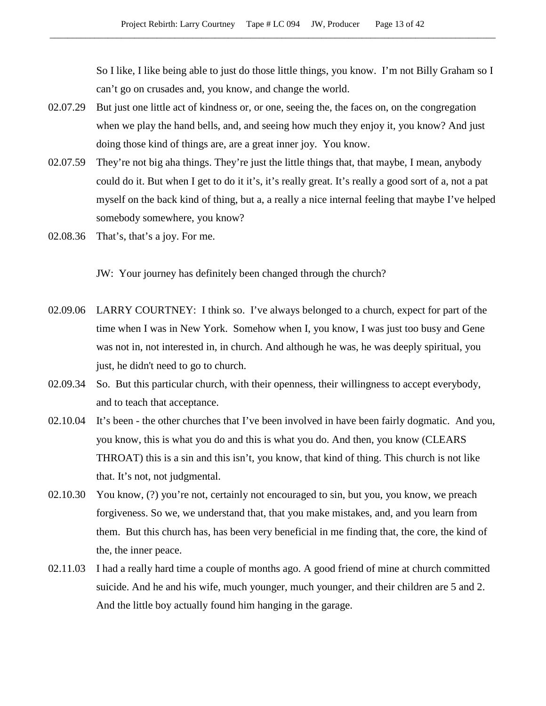So I like, I like being able to just do those little things, you know. I'm not Billy Graham so I can't go on crusades and, you know, and change the world.

- 02.07.29 But just one little act of kindness or, or one, seeing the, the faces on, on the congregation when we play the hand bells, and, and seeing how much they enjoy it, you know? And just doing those kind of things are, are a great inner joy. You know.
- 02.07.59 They're not big aha things. They're just the little things that, that maybe, I mean, anybody could do it. But when I get to do it it's, it's really great. It's really a good sort of a, not a pat myself on the back kind of thing, but a, a really a nice internal feeling that maybe I've helped somebody somewhere, you know?
- 02.08.36 That's, that's a joy. For me.

JW: Your journey has definitely been changed through the church?

- 02.09.06 LARRY COURTNEY: I think so. I've always belonged to a church, expect for part of the time when I was in New York. Somehow when I, you know, I was just too busy and Gene was not in, not interested in, in church. And although he was, he was deeply spiritual, you just, he didn't need to go to church.
- 02.09.34 So. But this particular church, with their openness, their willingness to accept everybody, and to teach that acceptance.
- 02.10.04 It's been the other churches that I've been involved in have been fairly dogmatic. And you, you know, this is what you do and this is what you do. And then, you know (CLEARS THROAT) this is a sin and this isn't, you know, that kind of thing. This church is not like that. It's not, not judgmental.
- 02.10.30 You know, (?) you're not, certainly not encouraged to sin, but you, you know, we preach forgiveness. So we, we understand that, that you make mistakes, and, and you learn from them. But this church has, has been very beneficial in me finding that, the core, the kind of the, the inner peace.
- 02.11.03 I had a really hard time a couple of months ago. A good friend of mine at church committed suicide. And he and his wife, much younger, much younger, and their children are 5 and 2. And the little boy actually found him hanging in the garage.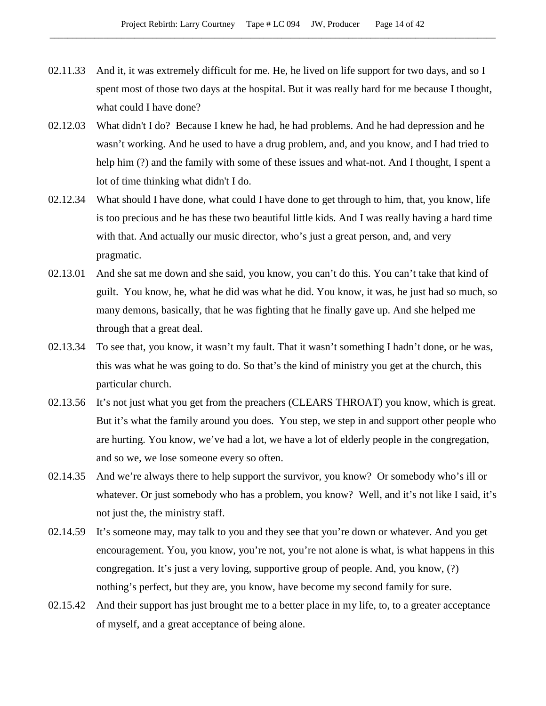- 02.11.33 And it, it was extremely difficult for me. He, he lived on life support for two days, and so I spent most of those two days at the hospital. But it was really hard for me because I thought, what could I have done?
- 02.12.03 What didn't I do? Because I knew he had, he had problems. And he had depression and he wasn't working. And he used to have a drug problem, and, and you know, and I had tried to help him (?) and the family with some of these issues and what-not. And I thought, I spent a lot of time thinking what didn't I do.
- 02.12.34 What should I have done, what could I have done to get through to him, that, you know, life is too precious and he has these two beautiful little kids. And I was really having a hard time with that. And actually our music director, who's just a great person, and, and very pragmatic.
- 02.13.01 And she sat me down and she said, you know, you can't do this. You can't take that kind of guilt. You know, he, what he did was what he did. You know, it was, he just had so much, so many demons, basically, that he was fighting that he finally gave up. And she helped me through that a great deal.
- 02.13.34 To see that, you know, it wasn't my fault. That it wasn't something I hadn't done, or he was, this was what he was going to do. So that's the kind of ministry you get at the church, this particular church.
- 02.13.56 It's not just what you get from the preachers (CLEARS THROAT) you know, which is great. But it's what the family around you does. You step, we step in and support other people who are hurting. You know, we've had a lot, we have a lot of elderly people in the congregation, and so we, we lose someone every so often.
- 02.14.35 And we're always there to help support the survivor, you know? Or somebody who's ill or whatever. Or just somebody who has a problem, you know? Well, and it's not like I said, it's not just the, the ministry staff.
- 02.14.59 It's someone may, may talk to you and they see that you're down or whatever. And you get encouragement. You, you know, you're not, you're not alone is what, is what happens in this congregation. It's just a very loving, supportive group of people. And, you know, (?) nothing's perfect, but they are, you know, have become my second family for sure.
- 02.15.42 And their support has just brought me to a better place in my life, to, to a greater acceptance of myself, and a great acceptance of being alone.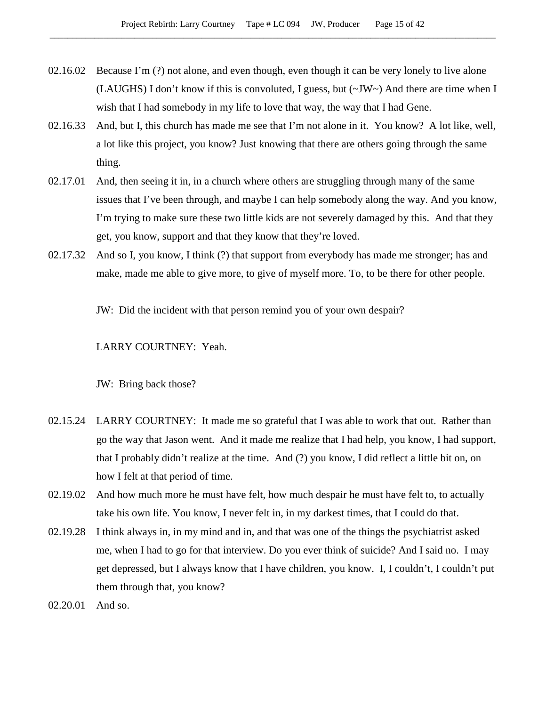- 02.16.02 Because I'm  $(?)$  not alone, and even though, even though it can be very lonely to live alone (LAUGHS) I don't know if this is convoluted, I guess, but  $(\sim JW)$  And there are time when I wish that I had somebody in my life to love that way, the way that I had Gene.
- 02.16.33 And, but I, this church has made me see that I'm not alone in it. You know? A lot like, well, a lot like this project, you know? Just knowing that there are others going through the same thing.
- 02.17.01 And, then seeing it in, in a church where others are struggling through many of the same issues that I've been through, and maybe I can help somebody along the way. And you know, I'm trying to make sure these two little kids are not severely damaged by this. And that they get, you know, support and that they know that they're loved.
- 02.17.32 And so I, you know, I think (?) that support from everybody has made me stronger; has and make, made me able to give more, to give of myself more. To, to be there for other people.

JW: Did the incident with that person remind you of your own despair?

## LARRY COURTNEY: Yeah.

JW: Bring back those?

- 02.15.24 LARRY COURTNEY: It made me so grateful that I was able to work that out. Rather than go the way that Jason went. And it made me realize that I had help, you know, I had support, that I probably didn't realize at the time. And (?) you know, I did reflect a little bit on, on how I felt at that period of time.
- 02.19.02 And how much more he must have felt, how much despair he must have felt to, to actually take his own life. You know, I never felt in, in my darkest times, that I could do that.
- 02.19.28 I think always in, in my mind and in, and that was one of the things the psychiatrist asked me, when I had to go for that interview. Do you ever think of suicide? And I said no. I may get depressed, but I always know that I have children, you know. I, I couldn't, I couldn't put them through that, you know?
- 02.20.01 And so.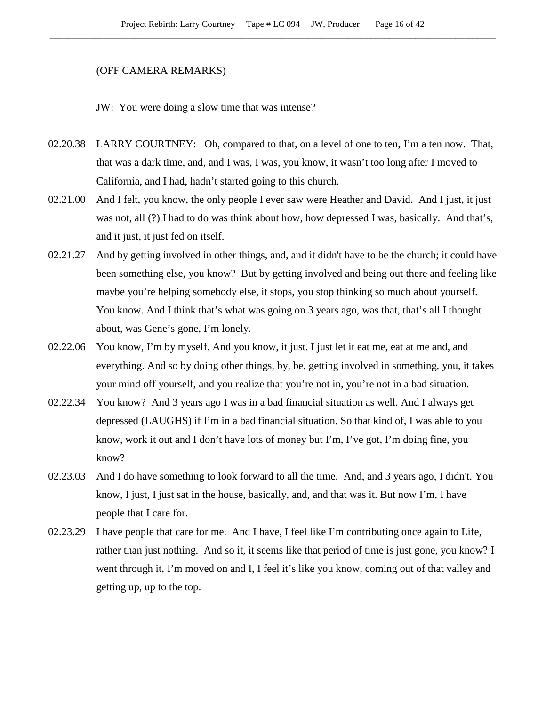# (OFF CAMERA REMARKS)

JW: You were doing a slow time that was intense?

- 02.20.38 LARRY COURTNEY: Oh, compared to that, on a level of one to ten, I'm a ten now. That, that was a dark time, and, and I was, I was, you know, it wasn't too long after I moved to California, and I had, hadn't started going to this church.
- 02.21.00 And I felt, you know, the only people I ever saw were Heather and David. And I just, it just was not, all (?) I had to do was think about how, how depressed I was, basically. And that's, and it just, it just fed on itself.
- 02.21.27 And by getting involved in other things, and, and it didn't have to be the church; it could have been something else, you know? But by getting involved and being out there and feeling like maybe you're helping somebody else, it stops, you stop thinking so much about yourself. You know. And I think that's what was going on 3 years ago, was that, that's all I thought about, was Gene's gone, I'm lonely.
- 02.22.06 You know, I'm by myself. And you know, it just. I just let it eat me, eat at me and, and everything. And so by doing other things, by, be, getting involved in something, you, it takes your mind off yourself, and you realize that you're not in, you're not in a bad situation.
- 02.22.34 You know? And 3 years ago I was in a bad financial situation as well. And I always get depressed (LAUGHS) if I'm in a bad financial situation. So that kind of, I was able to you know, work it out and I don't have lots of money but I'm, I've got, I'm doing fine, you know?
- 02.23.03 And I do have something to look forward to all the time. And, and 3 years ago, I didn't. You know, I just, I just sat in the house, basically, and, and that was it. But now I'm, I have people that I care for.
- 02.23.29 I have people that care for me. And I have, I feel like I'm contributing once again to Life, rather than just nothing. And so it, it seems like that period of time is just gone, you know? I went through it, I'm moved on and I, I feel it's like you know, coming out of that valley and getting up, up to the top.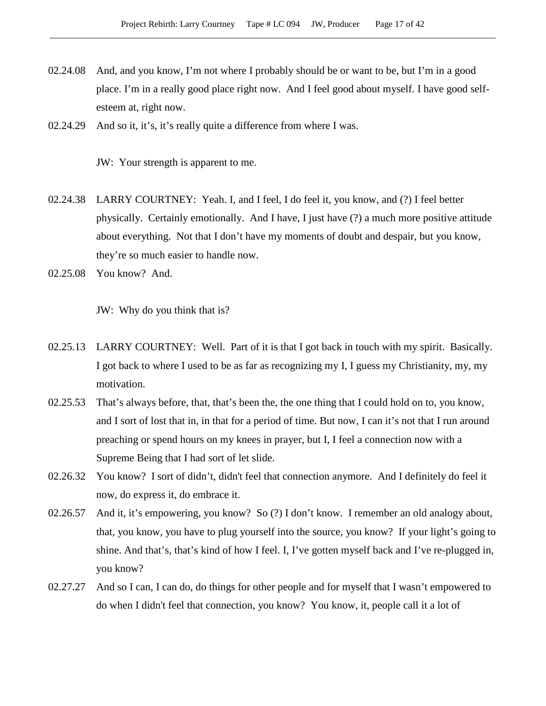- 02.24.08 And, and you know, I'm not where I probably should be or want to be, but I'm in a good place. I'm in a really good place right now. And I feel good about myself. I have good selfesteem at, right now.
- 02.24.29 And so it, it's, it's really quite a difference from where I was.

JW: Your strength is apparent to me.

- 02.24.38 LARRY COURTNEY: Yeah. I, and I feel, I do feel it, you know, and (?) I feel better physically. Certainly emotionally. And I have, I just have (?) a much more positive attitude about everything. Not that I don't have my moments of doubt and despair, but you know, they're so much easier to handle now.
- 02.25.08 You know? And.

JW: Why do you think that is?

- 02.25.13 LARRY COURTNEY: Well. Part of it is that I got back in touch with my spirit. Basically. I got back to where I used to be as far as recognizing my I, I guess my Christianity, my, my motivation.
- 02.25.53 That's always before, that, that's been the, the one thing that I could hold on to, you know, and I sort of lost that in, in that for a period of time. But now, I can it's not that I run around preaching or spend hours on my knees in prayer, but I, I feel a connection now with a Supreme Being that I had sort of let slide.
- 02.26.32 You know? I sort of didn't, didn't feel that connection anymore. And I definitely do feel it now, do express it, do embrace it.
- 02.26.57 And it, it's empowering, you know? So (?) I don't know. I remember an old analogy about, that, you know, you have to plug yourself into the source, you know? If your light's going to shine. And that's, that's kind of how I feel. I, I've gotten myself back and I've re-plugged in, you know?
- 02.27.27 And so I can, I can do, do things for other people and for myself that I wasn't empowered to do when I didn't feel that connection, you know? You know, it, people call it a lot of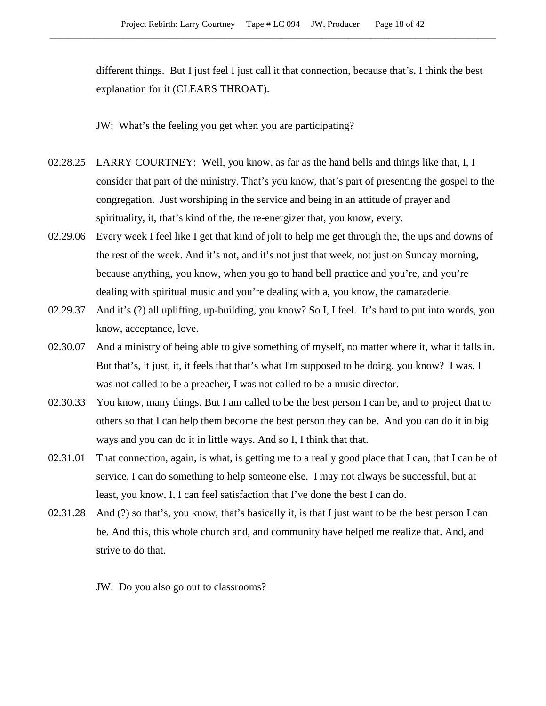different things. But I just feel I just call it that connection, because that's, I think the best explanation for it (CLEARS THROAT).

JW: What's the feeling you get when you are participating?

- 02.28.25 LARRY COURTNEY: Well, you know, as far as the hand bells and things like that, I, I consider that part of the ministry. That's you know, that's part of presenting the gospel to the congregation. Just worshiping in the service and being in an attitude of prayer and spirituality, it, that's kind of the, the re-energizer that, you know, every.
- 02.29.06 Every week I feel like I get that kind of jolt to help me get through the, the ups and downs of the rest of the week. And it's not, and it's not just that week, not just on Sunday morning, because anything, you know, when you go to hand bell practice and you're, and you're dealing with spiritual music and you're dealing with a, you know, the camaraderie.
- 02.29.37 And it's (?) all uplifting, up-building, you know? So I, I feel. It's hard to put into words, you know, acceptance, love.
- 02.30.07 And a ministry of being able to give something of myself, no matter where it, what it falls in. But that's, it just, it, it feels that that's what I'm supposed to be doing, you know? I was, I was not called to be a preacher, I was not called to be a music director.
- 02.30.33 You know, many things. But I am called to be the best person I can be, and to project that to others so that I can help them become the best person they can be. And you can do it in big ways and you can do it in little ways. And so I, I think that that.
- 02.31.01 That connection, again, is what, is getting me to a really good place that I can, that I can be of service, I can do something to help someone else. I may not always be successful, but at least, you know, I, I can feel satisfaction that I've done the best I can do.
- 02.31.28 And (?) so that's, you know, that's basically it, is that I just want to be the best person I can be. And this, this whole church and, and community have helped me realize that. And, and strive to do that.

JW: Do you also go out to classrooms?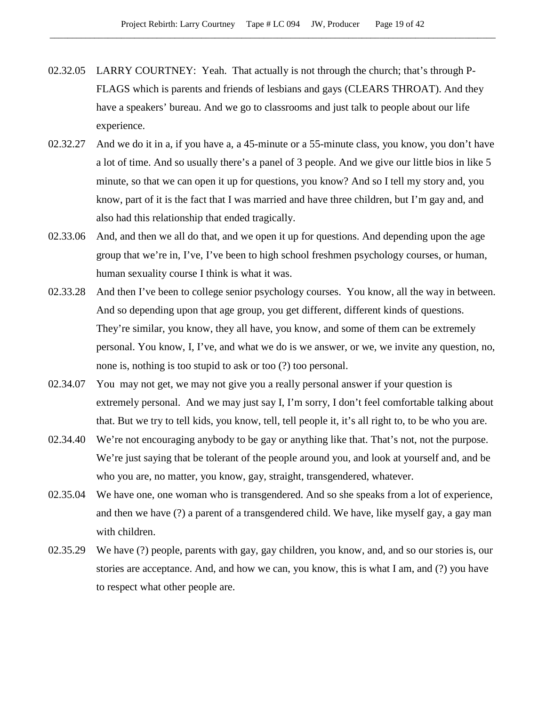- 02.32.05 LARRY COURTNEY: Yeah. That actually is not through the church; that's through P-FLAGS which is parents and friends of lesbians and gays (CLEARS THROAT). And they have a speakers' bureau. And we go to classrooms and just talk to people about our life experience.
- 02.32.27 And we do it in a, if you have a, a 45-minute or a 55-minute class, you know, you don't have a lot of time. And so usually there's a panel of 3 people. And we give our little bios in like 5 minute, so that we can open it up for questions, you know? And so I tell my story and, you know, part of it is the fact that I was married and have three children, but I'm gay and, and also had this relationship that ended tragically.
- 02.33.06 And, and then we all do that, and we open it up for questions. And depending upon the age group that we're in, I've, I've been to high school freshmen psychology courses, or human, human sexuality course I think is what it was.
- 02.33.28 And then I've been to college senior psychology courses. You know, all the way in between. And so depending upon that age group, you get different, different kinds of questions. They're similar, you know, they all have, you know, and some of them can be extremely personal. You know, I, I've, and what we do is we answer, or we, we invite any question, no, none is, nothing is too stupid to ask or too (?) too personal.
- 02.34.07 You may not get, we may not give you a really personal answer if your question is extremely personal. And we may just say I, I'm sorry, I don't feel comfortable talking about that. But we try to tell kids, you know, tell, tell people it, it's all right to, to be who you are.
- 02.34.40 We're not encouraging anybody to be gay or anything like that. That's not, not the purpose. We're just saying that be tolerant of the people around you, and look at yourself and, and be who you are, no matter, you know, gay, straight, transgendered, whatever.
- 02.35.04 We have one, one woman who is transgendered. And so she speaks from a lot of experience, and then we have (?) a parent of a transgendered child. We have, like myself gay, a gay man with children.
- 02.35.29 We have (?) people, parents with gay, gay children, you know, and, and so our stories is, our stories are acceptance. And, and how we can, you know, this is what I am, and (?) you have to respect what other people are.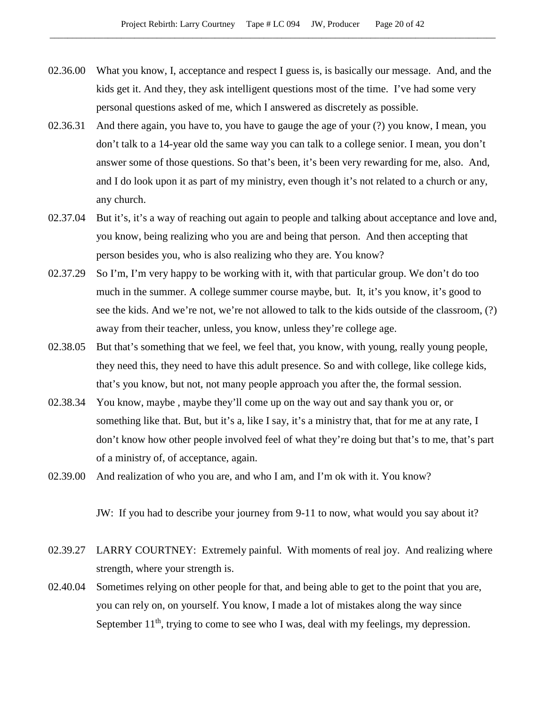- 02.36.00 What you know, I, acceptance and respect I guess is, is basically our message. And, and the kids get it. And they, they ask intelligent questions most of the time. I've had some very personal questions asked of me, which I answered as discretely as possible.
- 02.36.31 And there again, you have to, you have to gauge the age of your (?) you know, I mean, you don't talk to a 14-year old the same way you can talk to a college senior. I mean, you don't answer some of those questions. So that's been, it's been very rewarding for me, also. And, and I do look upon it as part of my ministry, even though it's not related to a church or any, any church.
- 02.37.04 But it's, it's a way of reaching out again to people and talking about acceptance and love and, you know, being realizing who you are and being that person. And then accepting that person besides you, who is also realizing who they are. You know?
- 02.37.29 So I'm, I'm very happy to be working with it, with that particular group. We don't do too much in the summer. A college summer course maybe, but. It, it's you know, it's good to see the kids. And we're not, we're not allowed to talk to the kids outside of the classroom, (?) away from their teacher, unless, you know, unless they're college age.
- 02.38.05 But that's something that we feel, we feel that, you know, with young, really young people, they need this, they need to have this adult presence. So and with college, like college kids, that's you know, but not, not many people approach you after the, the formal session.
- 02.38.34 You know, maybe , maybe they'll come up on the way out and say thank you or, or something like that. But, but it's a, like I say, it's a ministry that, that for me at any rate, I don't know how other people involved feel of what they're doing but that's to me, that's part of a ministry of, of acceptance, again.
- 02.39.00 And realization of who you are, and who I am, and I'm ok with it. You know?

JW: If you had to describe your journey from 9-11 to now, what would you say about it?

- 02.39.27 LARRY COURTNEY: Extremely painful. With moments of real joy. And realizing where strength, where your strength is.
- 02.40.04 Sometimes relying on other people for that, and being able to get to the point that you are, you can rely on, on yourself. You know, I made a lot of mistakes along the way since September  $11<sup>th</sup>$ , trying to come to see who I was, deal with my feelings, my depression.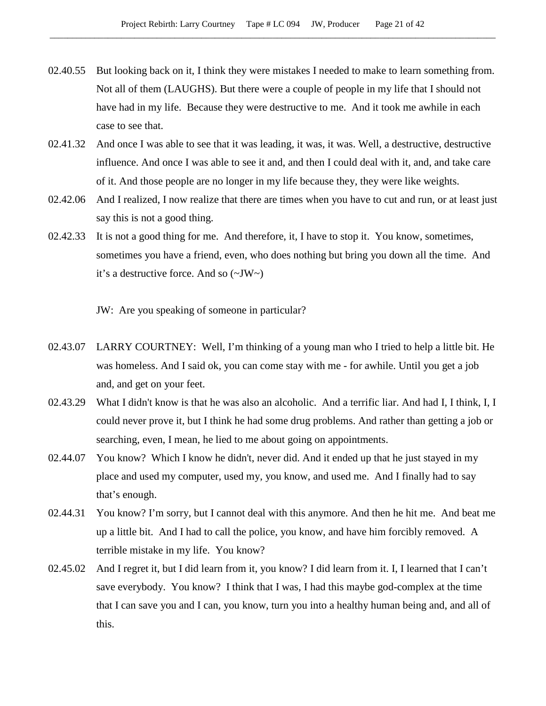- 02.40.55 But looking back on it, I think they were mistakes I needed to make to learn something from. Not all of them (LAUGHS). But there were a couple of people in my life that I should not have had in my life. Because they were destructive to me. And it took me awhile in each case to see that.
- 02.41.32 And once I was able to see that it was leading, it was, it was. Well, a destructive, destructive influence. And once I was able to see it and, and then I could deal with it, and, and take care of it. And those people are no longer in my life because they, they were like weights.
- 02.42.06 And I realized, I now realize that there are times when you have to cut and run, or at least just say this is not a good thing.
- 02.42.33 It is not a good thing for me. And therefore, it, I have to stop it. You know, sometimes, sometimes you have a friend, even, who does nothing but bring you down all the time. And it's a destructive force. And so (~JW~)

JW: Are you speaking of someone in particular?

- 02.43.07 LARRY COURTNEY: Well, I'm thinking of a young man who I tried to help a little bit. He was homeless. And I said ok, you can come stay with me - for awhile. Until you get a job and, and get on your feet.
- 02.43.29 What I didn't know is that he was also an alcoholic. And a terrific liar. And had I, I think, I, I could never prove it, but I think he had some drug problems. And rather than getting a job or searching, even, I mean, he lied to me about going on appointments.
- 02.44.07 You know? Which I know he didn't, never did. And it ended up that he just stayed in my place and used my computer, used my, you know, and used me. And I finally had to say that's enough.
- 02.44.31 You know? I'm sorry, but I cannot deal with this anymore. And then he hit me. And beat me up a little bit. And I had to call the police, you know, and have him forcibly removed. A terrible mistake in my life. You know?
- 02.45.02 And I regret it, but I did learn from it, you know? I did learn from it. I, I learned that I can't save everybody. You know? I think that I was, I had this maybe god-complex at the time that I can save you and I can, you know, turn you into a healthy human being and, and all of this.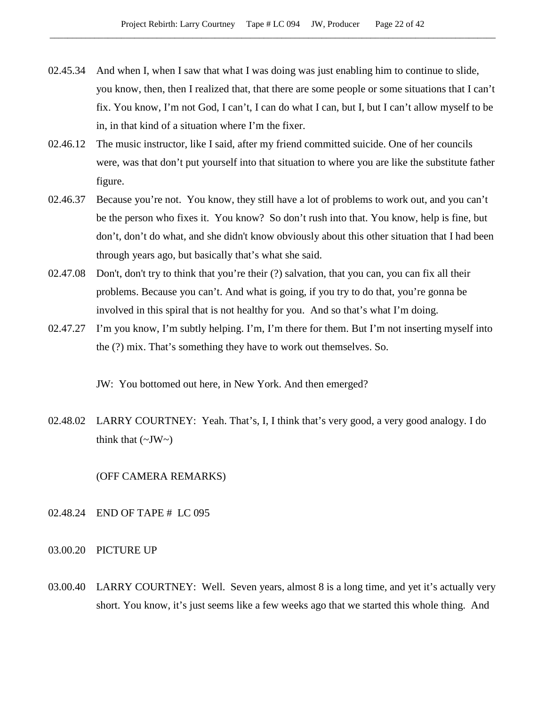- 02.45.34 And when I, when I saw that what I was doing was just enabling him to continue to slide, you know, then, then I realized that, that there are some people or some situations that I can't fix. You know, I'm not God, I can't, I can do what I can, but I, but I can't allow myself to be in, in that kind of a situation where I'm the fixer.
- 02.46.12 The music instructor, like I said, after my friend committed suicide. One of her councils were, was that don't put yourself into that situation to where you are like the substitute father figure.
- 02.46.37 Because you're not. You know, they still have a lot of problems to work out, and you can't be the person who fixes it. You know? So don't rush into that. You know, help is fine, but don't, don't do what, and she didn't know obviously about this other situation that I had been through years ago, but basically that's what she said.
- 02.47.08 Don't, don't try to think that you're their (?) salvation, that you can, you can fix all their problems. Because you can't. And what is going, if you try to do that, you're gonna be involved in this spiral that is not healthy for you. And so that's what I'm doing.
- 02.47.27 I'm you know, I'm subtly helping. I'm, I'm there for them. But I'm not inserting myself into the (?) mix. That's something they have to work out themselves. So.

JW: You bottomed out here, in New York. And then emerged?

02.48.02 LARRY COURTNEY: Yeah. That's, I, I think that's very good, a very good analogy. I do think that  $(\sim JW \sim)$ 

## (OFF CAMERA REMARKS)

- 02.48.24 END OF TAPE # LC 095
- 03.00.20 PICTURE UP
- 03.00.40 LARRY COURTNEY: Well. Seven years, almost 8 is a long time, and yet it's actually very short. You know, it's just seems like a few weeks ago that we started this whole thing. And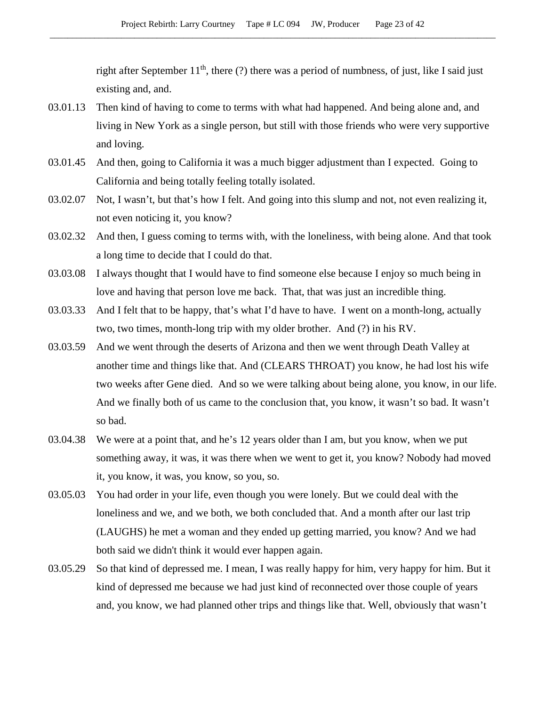right after September  $11<sup>th</sup>$ , there (?) there was a period of numbness, of just, like I said just existing and, and.

- 03.01.13 Then kind of having to come to terms with what had happened. And being alone and, and living in New York as a single person, but still with those friends who were very supportive and loving.
- 03.01.45 And then, going to California it was a much bigger adjustment than I expected. Going to California and being totally feeling totally isolated.
- 03.02.07 Not, I wasn't, but that's how I felt. And going into this slump and not, not even realizing it, not even noticing it, you know?
- 03.02.32 And then, I guess coming to terms with, with the loneliness, with being alone. And that took a long time to decide that I could do that.
- 03.03.08 I always thought that I would have to find someone else because I enjoy so much being in love and having that person love me back. That, that was just an incredible thing.
- 03.03.33 And I felt that to be happy, that's what I'd have to have. I went on a month-long, actually two, two times, month-long trip with my older brother. And (?) in his RV.
- 03.03.59 And we went through the deserts of Arizona and then we went through Death Valley at another time and things like that. And (CLEARS THROAT) you know, he had lost his wife two weeks after Gene died. And so we were talking about being alone, you know, in our life. And we finally both of us came to the conclusion that, you know, it wasn't so bad. It wasn't so bad.
- 03.04.38 We were at a point that, and he's 12 years older than I am, but you know, when we put something away, it was, it was there when we went to get it, you know? Nobody had moved it, you know, it was, you know, so you, so.
- 03.05.03 You had order in your life, even though you were lonely. But we could deal with the loneliness and we, and we both, we both concluded that. And a month after our last trip (LAUGHS) he met a woman and they ended up getting married, you know? And we had both said we didn't think it would ever happen again.
- 03.05.29 So that kind of depressed me. I mean, I was really happy for him, very happy for him. But it kind of depressed me because we had just kind of reconnected over those couple of years and, you know, we had planned other trips and things like that. Well, obviously that wasn't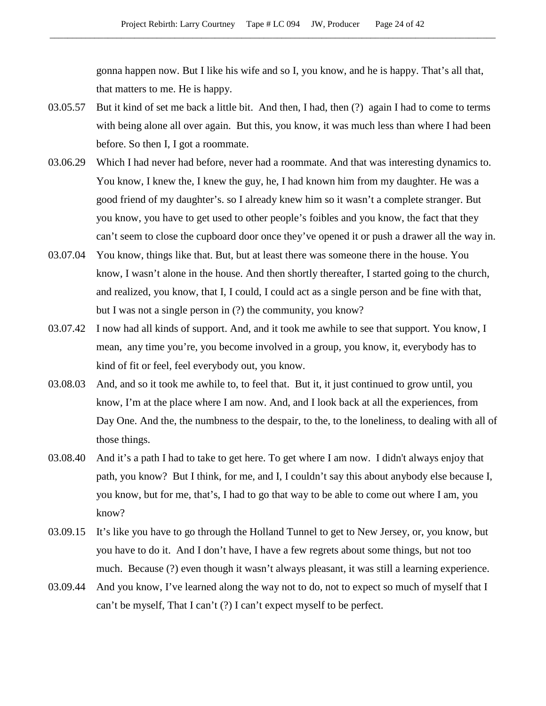gonna happen now. But I like his wife and so I, you know, and he is happy. That's all that, that matters to me. He is happy.

- 03.05.57 But it kind of set me back a little bit. And then, I had, then (?) again I had to come to terms with being alone all over again. But this, you know, it was much less than where I had been before. So then I, I got a roommate.
- 03.06.29 Which I had never had before, never had a roommate. And that was interesting dynamics to. You know, I knew the, I knew the guy, he, I had known him from my daughter. He was a good friend of my daughter's. so I already knew him so it wasn't a complete stranger. But you know, you have to get used to other people's foibles and you know, the fact that they can't seem to close the cupboard door once they've opened it or push a drawer all the way in.
- 03.07.04 You know, things like that. But, but at least there was someone there in the house. You know, I wasn't alone in the house. And then shortly thereafter, I started going to the church, and realized, you know, that I, I could, I could act as a single person and be fine with that, but I was not a single person in (?) the community, you know?
- 03.07.42 I now had all kinds of support. And, and it took me awhile to see that support. You know, I mean, any time you're, you become involved in a group, you know, it, everybody has to kind of fit or feel, feel everybody out, you know.
- 03.08.03 And, and so it took me awhile to, to feel that. But it, it just continued to grow until, you know, I'm at the place where I am now. And, and I look back at all the experiences, from Day One. And the, the numbness to the despair, to the, to the loneliness, to dealing with all of those things.
- 03.08.40 And it's a path I had to take to get here. To get where I am now. I didn't always enjoy that path, you know? But I think, for me, and I, I couldn't say this about anybody else because I, you know, but for me, that's, I had to go that way to be able to come out where I am, you know?
- 03.09.15 It's like you have to go through the Holland Tunnel to get to New Jersey, or, you know, but you have to do it. And I don't have, I have a few regrets about some things, but not too much. Because (?) even though it wasn't always pleasant, it was still a learning experience.
- 03.09.44 And you know, I've learned along the way not to do, not to expect so much of myself that I can't be myself, That I can't (?) I can't expect myself to be perfect.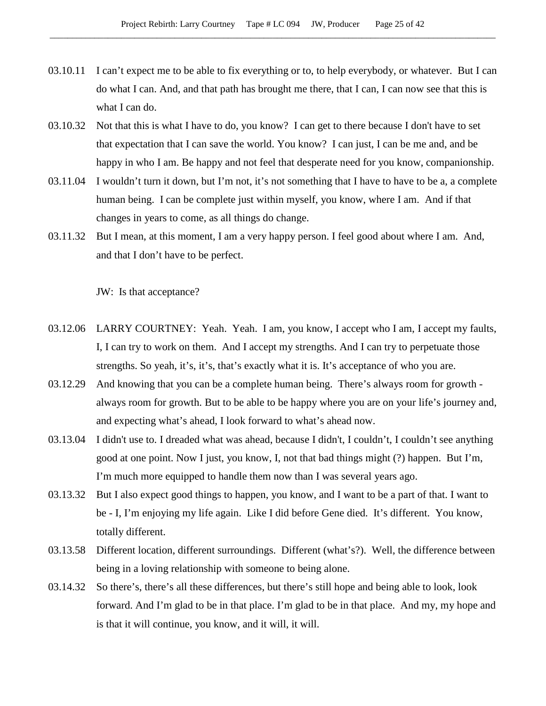- 03.10.11 I can't expect me to be able to fix everything or to, to help everybody, or whatever. But I can do what I can. And, and that path has brought me there, that I can, I can now see that this is what I can do.
- 03.10.32 Not that this is what I have to do, you know? I can get to there because I don't have to set that expectation that I can save the world. You know? I can just, I can be me and, and be happy in who I am. Be happy and not feel that desperate need for you know, companionship.
- 03.11.04 I wouldn't turn it down, but I'm not, it's not something that I have to have to be a, a complete human being. I can be complete just within myself, you know, where I am. And if that changes in years to come, as all things do change.
- 03.11.32 But I mean, at this moment, I am a very happy person. I feel good about where I am. And, and that I don't have to be perfect.

JW: Is that acceptance?

- 03.12.06 LARRY COURTNEY: Yeah. Yeah. I am, you know, I accept who I am, I accept my faults, I, I can try to work on them. And I accept my strengths. And I can try to perpetuate those strengths. So yeah, it's, it's, that's exactly what it is. It's acceptance of who you are.
- 03.12.29 And knowing that you can be a complete human being. There's always room for growth always room for growth. But to be able to be happy where you are on your life's journey and, and expecting what's ahead, I look forward to what's ahead now.
- 03.13.04 I didn't use to. I dreaded what was ahead, because I didn't, I couldn't, I couldn't see anything good at one point. Now I just, you know, I, not that bad things might (?) happen. But I'm, I'm much more equipped to handle them now than I was several years ago.
- 03.13.32 But I also expect good things to happen, you know, and I want to be a part of that. I want to be - I, I'm enjoying my life again. Like I did before Gene died. It's different. You know, totally different.
- 03.13.58 Different location, different surroundings. Different (what's?). Well, the difference between being in a loving relationship with someone to being alone.
- 03.14.32 So there's, there's all these differences, but there's still hope and being able to look, look forward. And I'm glad to be in that place. I'm glad to be in that place. And my, my hope and is that it will continue, you know, and it will, it will.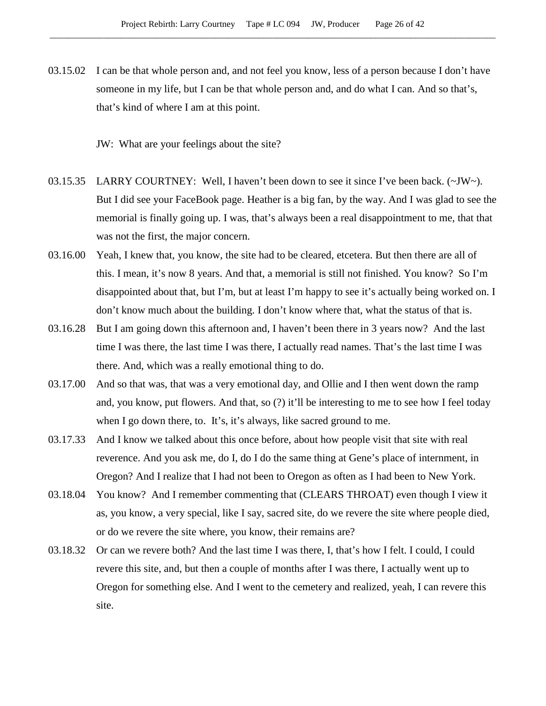03.15.02 I can be that whole person and, and not feel you know, less of a person because I don't have someone in my life, but I can be that whole person and, and do what I can. And so that's, that's kind of where I am at this point.

JW: What are your feelings about the site?

- 03.15.35 LARRY COURTNEY: Well, I haven't been down to see it since I've been back. (~JW~). But I did see your FaceBook page. Heather is a big fan, by the way. And I was glad to see the memorial is finally going up. I was, that's always been a real disappointment to me, that that was not the first, the major concern.
- 03.16.00 Yeah, I knew that, you know, the site had to be cleared, etcetera. But then there are all of this. I mean, it's now 8 years. And that, a memorial is still not finished. You know? So I'm disappointed about that, but I'm, but at least I'm happy to see it's actually being worked on. I don't know much about the building. I don't know where that, what the status of that is.
- 03.16.28 But I am going down this afternoon and, I haven't been there in 3 years now? And the last time I was there, the last time I was there, I actually read names. That's the last time I was there. And, which was a really emotional thing to do.
- 03.17.00 And so that was, that was a very emotional day, and Ollie and I then went down the ramp and, you know, put flowers. And that, so (?) it'll be interesting to me to see how I feel today when I go down there, to. It's, it's always, like sacred ground to me.
- 03.17.33 And I know we talked about this once before, about how people visit that site with real reverence. And you ask me, do I, do I do the same thing at Gene's place of internment, in Oregon? And I realize that I had not been to Oregon as often as I had been to New York.
- 03.18.04 You know? And I remember commenting that (CLEARS THROAT) even though I view it as, you know, a very special, like I say, sacred site, do we revere the site where people died, or do we revere the site where, you know, their remains are?
- 03.18.32 Or can we revere both? And the last time I was there, I, that's how I felt. I could, I could revere this site, and, but then a couple of months after I was there, I actually went up to Oregon for something else. And I went to the cemetery and realized, yeah, I can revere this site.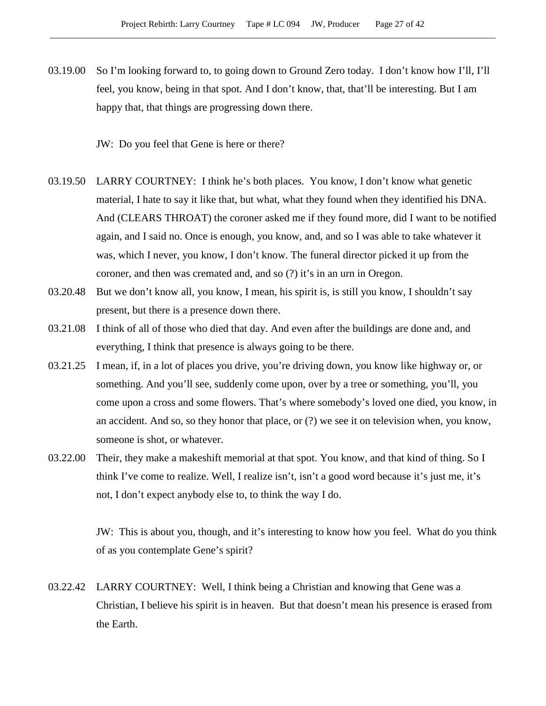03.19.00 So I'm looking forward to, to going down to Ground Zero today. I don't know how I'll, I'll feel, you know, being in that spot. And I don't know, that, that'll be interesting. But I am happy that, that things are progressing down there.

JW: Do you feel that Gene is here or there?

- 03.19.50 LARRY COURTNEY: I think he's both places. You know, I don't know what genetic material, I hate to say it like that, but what, what they found when they identified his DNA. And (CLEARS THROAT) the coroner asked me if they found more, did I want to be notified again, and I said no. Once is enough, you know, and, and so I was able to take whatever it was, which I never, you know, I don't know. The funeral director picked it up from the coroner, and then was cremated and, and so (?) it's in an urn in Oregon.
- 03.20.48 But we don't know all, you know, I mean, his spirit is, is still you know, I shouldn't say present, but there is a presence down there.
- 03.21.08 I think of all of those who died that day. And even after the buildings are done and, and everything, I think that presence is always going to be there.
- 03.21.25 I mean, if, in a lot of places you drive, you're driving down, you know like highway or, or something. And you'll see, suddenly come upon, over by a tree or something, you'll, you come upon a cross and some flowers. That's where somebody's loved one died, you know, in an accident. And so, so they honor that place, or (?) we see it on television when, you know, someone is shot, or whatever.
- 03.22.00 Their, they make a makeshift memorial at that spot. You know, and that kind of thing. So I think I've come to realize. Well, I realize isn't, isn't a good word because it's just me, it's not, I don't expect anybody else to, to think the way I do.

JW: This is about you, though, and it's interesting to know how you feel. What do you think of as you contemplate Gene's spirit?

03.22.42 LARRY COURTNEY: Well, I think being a Christian and knowing that Gene was a Christian, I believe his spirit is in heaven. But that doesn't mean his presence is erased from the Earth.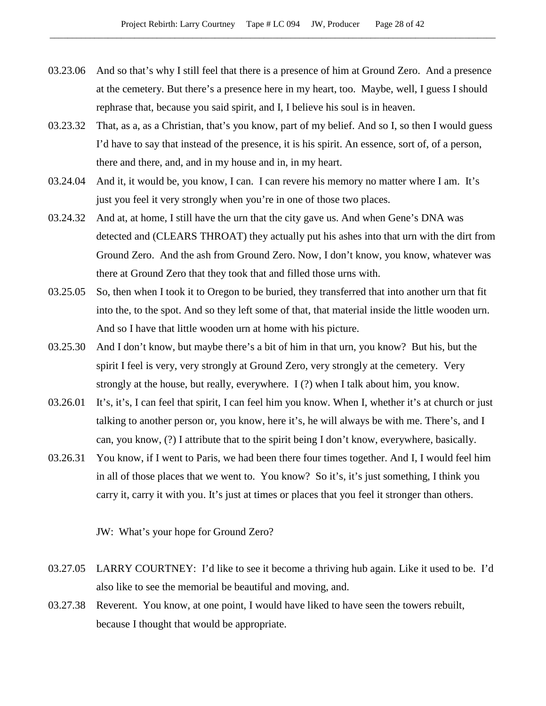- 03.23.06 And so that's why I still feel that there is a presence of him at Ground Zero. And a presence at the cemetery. But there's a presence here in my heart, too. Maybe, well, I guess I should rephrase that, because you said spirit, and I, I believe his soul is in heaven.
- 03.23.32 That, as a, as a Christian, that's you know, part of my belief. And so I, so then I would guess I'd have to say that instead of the presence, it is his spirit. An essence, sort of, of a person, there and there, and, and in my house and in, in my heart.
- 03.24.04 And it, it would be, you know, I can. I can revere his memory no matter where I am. It's just you feel it very strongly when you're in one of those two places.
- 03.24.32 And at, at home, I still have the urn that the city gave us. And when Gene's DNA was detected and (CLEARS THROAT) they actually put his ashes into that urn with the dirt from Ground Zero. And the ash from Ground Zero. Now, I don't know, you know, whatever was there at Ground Zero that they took that and filled those urns with.
- 03.25.05 So, then when I took it to Oregon to be buried, they transferred that into another urn that fit into the, to the spot. And so they left some of that, that material inside the little wooden urn. And so I have that little wooden urn at home with his picture.
- 03.25.30 And I don't know, but maybe there's a bit of him in that urn, you know? But his, but the spirit I feel is very, very strongly at Ground Zero, very strongly at the cemetery. Very strongly at the house, but really, everywhere. I (?) when I talk about him, you know.
- 03.26.01 It's, it's, I can feel that spirit, I can feel him you know. When I, whether it's at church or just talking to another person or, you know, here it's, he will always be with me. There's, and I can, you know, (?) I attribute that to the spirit being I don't know, everywhere, basically.
- 03.26.31 You know, if I went to Paris, we had been there four times together. And I, I would feel him in all of those places that we went to. You know? So it's, it's just something, I think you carry it, carry it with you. It's just at times or places that you feel it stronger than others.

JW: What's your hope for Ground Zero?

- 03.27.05 LARRY COURTNEY: I'd like to see it become a thriving hub again. Like it used to be. I'd also like to see the memorial be beautiful and moving, and.
- 03.27.38 Reverent. You know, at one point, I would have liked to have seen the towers rebuilt, because I thought that would be appropriate.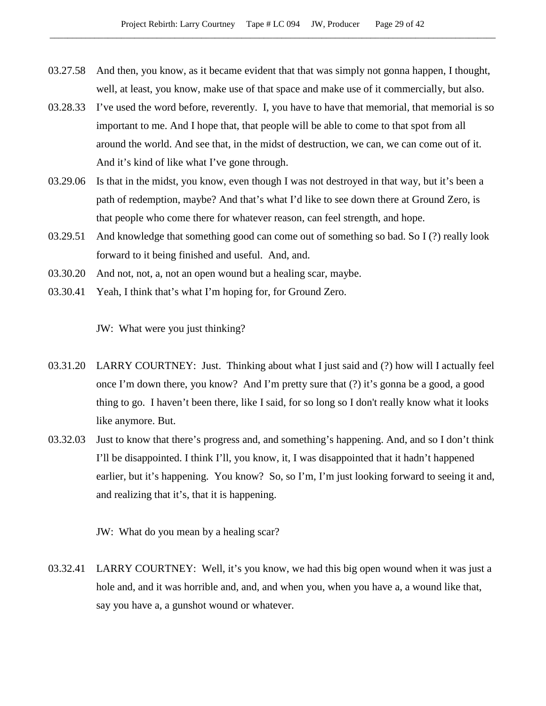- 03.27.58 And then, you know, as it became evident that that was simply not gonna happen, I thought, well, at least, you know, make use of that space and make use of it commercially, but also.
- 03.28.33 I've used the word before, reverently. I, you have to have that memorial, that memorial is so important to me. And I hope that, that people will be able to come to that spot from all around the world. And see that, in the midst of destruction, we can, we can come out of it. And it's kind of like what I've gone through.
- 03.29.06 Is that in the midst, you know, even though I was not destroyed in that way, but it's been a path of redemption, maybe? And that's what I'd like to see down there at Ground Zero, is that people who come there for whatever reason, can feel strength, and hope.
- 03.29.51 And knowledge that something good can come out of something so bad. So I (?) really look forward to it being finished and useful. And, and.
- 03.30.20 And not, not, a, not an open wound but a healing scar, maybe.
- 03.30.41 Yeah, I think that's what I'm hoping for, for Ground Zero.

JW: What were you just thinking?

- 03.31.20 LARRY COURTNEY: Just. Thinking about what I just said and (?) how will I actually feel once I'm down there, you know? And I'm pretty sure that (?) it's gonna be a good, a good thing to go. I haven't been there, like I said, for so long so I don't really know what it looks like anymore. But.
- 03.32.03 Just to know that there's progress and, and something's happening. And, and so I don't think I'll be disappointed. I think I'll, you know, it, I was disappointed that it hadn't happened earlier, but it's happening. You know? So, so I'm, I'm just looking forward to seeing it and, and realizing that it's, that it is happening.

JW: What do you mean by a healing scar?

03.32.41 LARRY COURTNEY: Well, it's you know, we had this big open wound when it was just a hole and, and it was horrible and, and, and when you, when you have a, a wound like that, say you have a, a gunshot wound or whatever.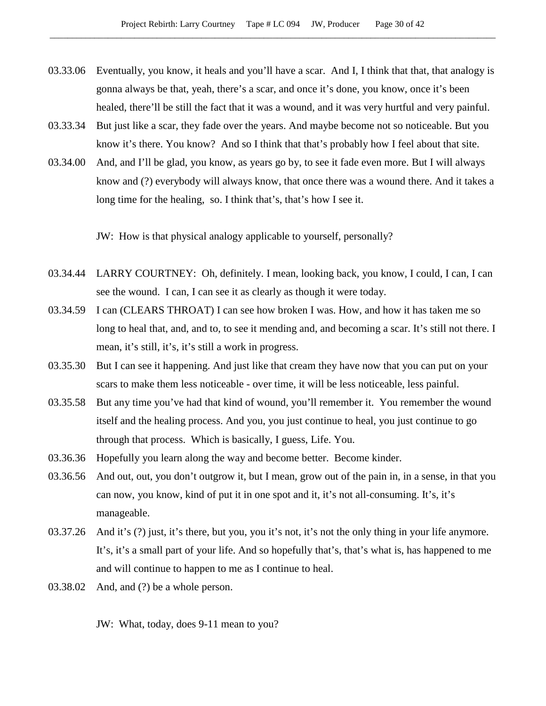- 03.33.06 Eventually, you know, it heals and you'll have a scar. And I, I think that that, that analogy is gonna always be that, yeah, there's a scar, and once it's done, you know, once it's been healed, there'll be still the fact that it was a wound, and it was very hurtful and very painful.
- 03.33.34 But just like a scar, they fade over the years. And maybe become not so noticeable. But you know it's there. You know? And so I think that that's probably how I feel about that site.
- 03.34.00 And, and I'll be glad, you know, as years go by, to see it fade even more. But I will always know and (?) everybody will always know, that once there was a wound there. And it takes a long time for the healing, so. I think that's, that's how I see it.

JW: How is that physical analogy applicable to yourself, personally?

- 03.34.44 LARRY COURTNEY: Oh, definitely. I mean, looking back, you know, I could, I can, I can see the wound. I can, I can see it as clearly as though it were today.
- 03.34.59 I can (CLEARS THROAT) I can see how broken I was. How, and how it has taken me so long to heal that, and, and to, to see it mending and, and becoming a scar. It's still not there. I mean, it's still, it's, it's still a work in progress.
- 03.35.30 But I can see it happening. And just like that cream they have now that you can put on your scars to make them less noticeable - over time, it will be less noticeable, less painful.
- 03.35.58 But any time you've had that kind of wound, you'll remember it. You remember the wound itself and the healing process. And you, you just continue to heal, you just continue to go through that process. Which is basically, I guess, Life. You.
- 03.36.36 Hopefully you learn along the way and become better. Become kinder.
- 03.36.56 And out, out, you don't outgrow it, but I mean, grow out of the pain in, in a sense, in that you can now, you know, kind of put it in one spot and it, it's not all-consuming. It's, it's manageable.
- 03.37.26 And it's (?) just, it's there, but you, you it's not, it's not the only thing in your life anymore. It's, it's a small part of your life. And so hopefully that's, that's what is, has happened to me and will continue to happen to me as I continue to heal.
- 03.38.02 And, and (?) be a whole person.

JW: What, today, does 9-11 mean to you?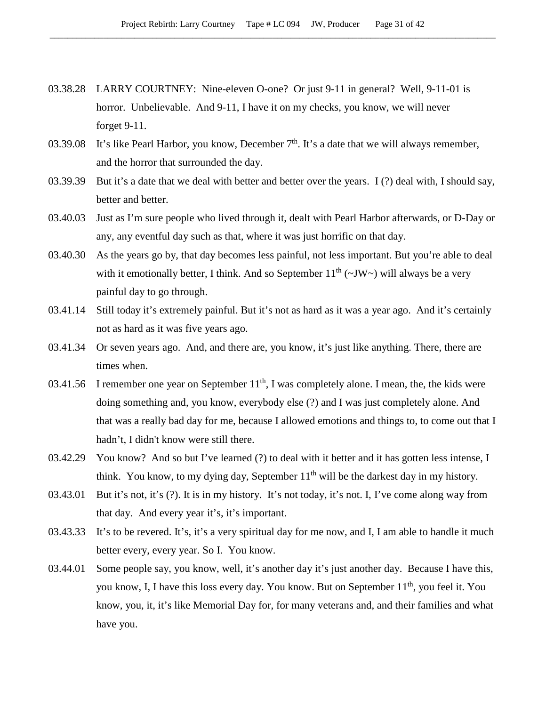- 03.38.28 LARRY COURTNEY: Nine-eleven O-one? Or just 9-11 in general? Well, 9-11-01 is horror. Unbelievable. And 9-11, I have it on my checks, you know, we will never forget 9-11.
- 03.39.08 It's like Pearl Harbor, you know, December  $7<sup>th</sup>$ . It's a date that we will always remember, and the horror that surrounded the day.
- 03.39.39 But it's a date that we deal with better and better over the years. I (?) deal with, I should say, better and better.
- 03.40.03 Just as I'm sure people who lived through it, dealt with Pearl Harbor afterwards, or D-Day or any, any eventful day such as that, where it was just horrific on that day.
- 03.40.30 As the years go by, that day becomes less painful, not less important. But you're able to deal with it emotionally better, I think. And so September  $11<sup>th</sup>$  ( $\sim$ JW $\sim$ ) will always be a very painful day to go through.
- 03.41.14 Still today it's extremely painful. But it's not as hard as it was a year ago. And it's certainly not as hard as it was five years ago.
- 03.41.34 Or seven years ago. And, and there are, you know, it's just like anything. There, there are times when.
- 03.41.56 I remember one year on September  $11<sup>th</sup>$ , I was completely alone. I mean, the, the kids were doing something and, you know, everybody else (?) and I was just completely alone. And that was a really bad day for me, because I allowed emotions and things to, to come out that I hadn't, I didn't know were still there.
- 03.42.29 You know? And so but I've learned (?) to deal with it better and it has gotten less intense, I think. You know, to my dying day, September  $11<sup>th</sup>$  will be the darkest day in my history.
- 03.43.01 But it's not, it's (?). It is in my history. It's not today, it's not. I, I've come along way from that day. And every year it's, it's important.
- 03.43.33 It's to be revered. It's, it's a very spiritual day for me now, and I, I am able to handle it much better every, every year. So I. You know.
- 03.44.01 Some people say, you know, well, it's another day it's just another day. Because I have this, you know, I, I have this loss every day. You know. But on September  $11<sup>th</sup>$ , you feel it. You know, you, it, it's like Memorial Day for, for many veterans and, and their families and what have you.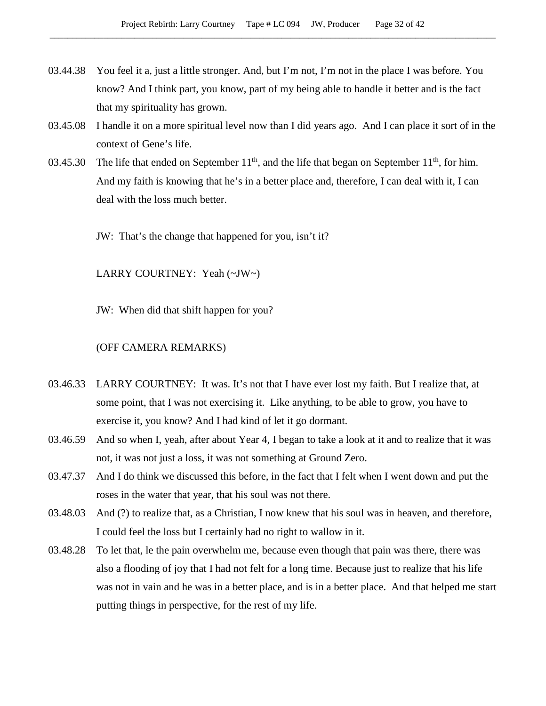- 03.44.38 You feel it a, just a little stronger. And, but I'm not, I'm not in the place I was before. You know? And I think part, you know, part of my being able to handle it better and is the fact that my spirituality has grown.
- 03.45.08 I handle it on a more spiritual level now than I did years ago. And I can place it sort of in the context of Gene's life.
- 03.45.30 The life that ended on September  $11<sup>th</sup>$ , and the life that began on September  $11<sup>th</sup>$ , for him. And my faith is knowing that he's in a better place and, therefore, I can deal with it, I can deal with the loss much better.
	- JW: That's the change that happened for you, isn't it?

LARRY COURTNEY: Yeah (~JW~)

JW: When did that shift happen for you?

#### (OFF CAMERA REMARKS)

- 03.46.33 LARRY COURTNEY: It was. It's not that I have ever lost my faith. But I realize that, at some point, that I was not exercising it. Like anything, to be able to grow, you have to exercise it, you know? And I had kind of let it go dormant.
- 03.46.59 And so when I, yeah, after about Year 4, I began to take a look at it and to realize that it was not, it was not just a loss, it was not something at Ground Zero.
- 03.47.37 And I do think we discussed this before, in the fact that I felt when I went down and put the roses in the water that year, that his soul was not there.
- 03.48.03 And (?) to realize that, as a Christian, I now knew that his soul was in heaven, and therefore, I could feel the loss but I certainly had no right to wallow in it.
- 03.48.28 To let that, le the pain overwhelm me, because even though that pain was there, there was also a flooding of joy that I had not felt for a long time. Because just to realize that his life was not in vain and he was in a better place, and is in a better place. And that helped me start putting things in perspective, for the rest of my life.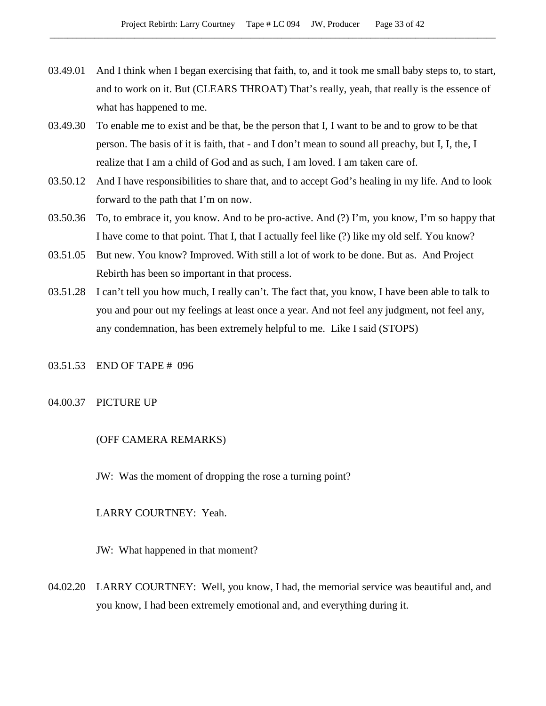- 03.49.01 And I think when I began exercising that faith, to, and it took me small baby steps to, to start, and to work on it. But (CLEARS THROAT) That's really, yeah, that really is the essence of what has happened to me.
- 03.49.30 To enable me to exist and be that, be the person that I, I want to be and to grow to be that person. The basis of it is faith, that - and I don't mean to sound all preachy, but I, I, the, I realize that I am a child of God and as such, I am loved. I am taken care of.
- 03.50.12 And I have responsibilities to share that, and to accept God's healing in my life. And to look forward to the path that I'm on now.
- 03.50.36 To, to embrace it, you know. And to be pro-active. And (?) I'm, you know, I'm so happy that I have come to that point. That I, that I actually feel like (?) like my old self. You know?
- 03.51.05 But new. You know? Improved. With still a lot of work to be done. But as. And Project Rebirth has been so important in that process.
- 03.51.28 I can't tell you how much, I really can't. The fact that, you know, I have been able to talk to you and pour out my feelings at least once a year. And not feel any judgment, not feel any, any condemnation, has been extremely helpful to me. Like I said (STOPS)

#### 03.51.53 END OF TAPE # 096

#### 04.00.37 PICTURE UP

#### (OFF CAMERA REMARKS)

JW: Was the moment of dropping the rose a turning point?

#### LARRY COURTNEY: Yeah.

JW: What happened in that moment?

04.02.20 LARRY COURTNEY: Well, you know, I had, the memorial service was beautiful and, and you know, I had been extremely emotional and, and everything during it.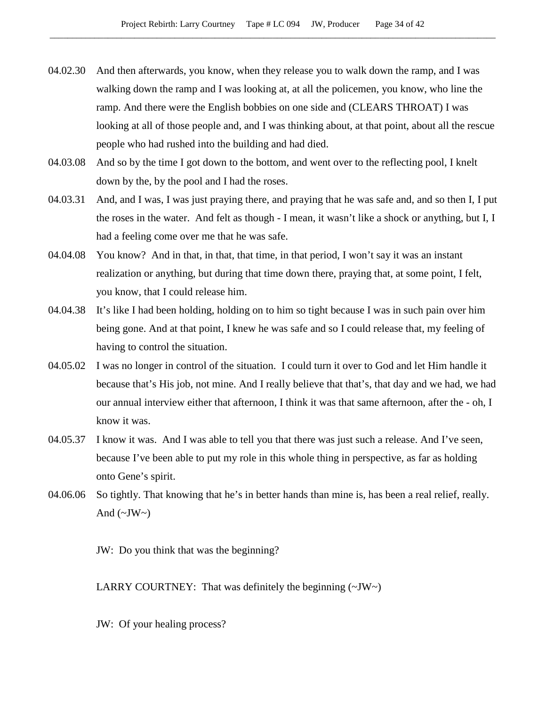- 04.02.30 And then afterwards, you know, when they release you to walk down the ramp, and I was walking down the ramp and I was looking at, at all the policemen, you know, who line the ramp. And there were the English bobbies on one side and (CLEARS THROAT) I was looking at all of those people and, and I was thinking about, at that point, about all the rescue people who had rushed into the building and had died.
- 04.03.08 And so by the time I got down to the bottom, and went over to the reflecting pool, I knelt down by the, by the pool and I had the roses.
- 04.03.31 And, and I was, I was just praying there, and praying that he was safe and, and so then I, I put the roses in the water. And felt as though - I mean, it wasn't like a shock or anything, but I, I had a feeling come over me that he was safe.
- 04.04.08 You know? And in that, in that, that time, in that period, I won't say it was an instant realization or anything, but during that time down there, praying that, at some point, I felt, you know, that I could release him.
- 04.04.38 It's like I had been holding, holding on to him so tight because I was in such pain over him being gone. And at that point, I knew he was safe and so I could release that, my feeling of having to control the situation.
- 04.05.02 I was no longer in control of the situation. I could turn it over to God and let Him handle it because that's His job, not mine. And I really believe that that's, that day and we had, we had our annual interview either that afternoon, I think it was that same afternoon, after the - oh, I know it was.
- 04.05.37 I know it was. And I was able to tell you that there was just such a release. And I've seen, because I've been able to put my role in this whole thing in perspective, as far as holding onto Gene's spirit.
- 04.06.06 So tightly. That knowing that he's in better hands than mine is, has been a real relief, really. And  $(\sim JW \sim)$

JW: Do you think that was the beginning?

LARRY COURTNEY: That was definitely the beginning  $(\sim JW)$ 

JW: Of your healing process?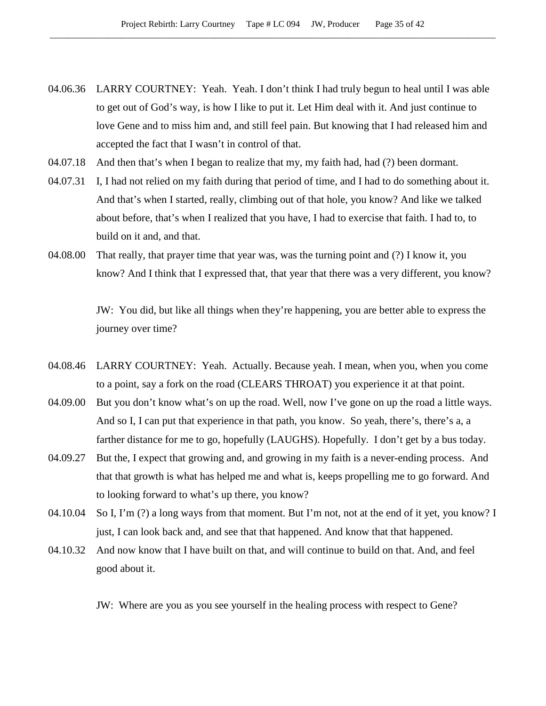- 04.06.36 LARRY COURTNEY: Yeah. Yeah. I don't think I had truly begun to heal until I was able to get out of God's way, is how I like to put it. Let Him deal with it. And just continue to love Gene and to miss him and, and still feel pain. But knowing that I had released him and accepted the fact that I wasn't in control of that.
- 04.07.18 And then that's when I began to realize that my, my faith had, had (?) been dormant.
- 04.07.31 I, I had not relied on my faith during that period of time, and I had to do something about it. And that's when I started, really, climbing out of that hole, you know? And like we talked about before, that's when I realized that you have, I had to exercise that faith. I had to, to build on it and, and that.
- 04.08.00 That really, that prayer time that year was, was the turning point and (?) I know it, you know? And I think that I expressed that, that year that there was a very different, you know?

JW: You did, but like all things when they're happening, you are better able to express the journey over time?

- 04.08.46 LARRY COURTNEY: Yeah. Actually. Because yeah. I mean, when you, when you come to a point, say a fork on the road (CLEARS THROAT) you experience it at that point.
- 04.09.00 But you don't know what's on up the road. Well, now I've gone on up the road a little ways. And so I, I can put that experience in that path, you know. So yeah, there's, there's a, a farther distance for me to go, hopefully (LAUGHS). Hopefully. I don't get by a bus today.
- 04.09.27 But the, I expect that growing and, and growing in my faith is a never-ending process. And that that growth is what has helped me and what is, keeps propelling me to go forward. And to looking forward to what's up there, you know?
- 04.10.04 So I, I'm (?) a long ways from that moment. But I'm not, not at the end of it yet, you know? I just, I can look back and, and see that that happened. And know that that happened.
- 04.10.32 And now know that I have built on that, and will continue to build on that. And, and feel good about it.

JW: Where are you as you see yourself in the healing process with respect to Gene?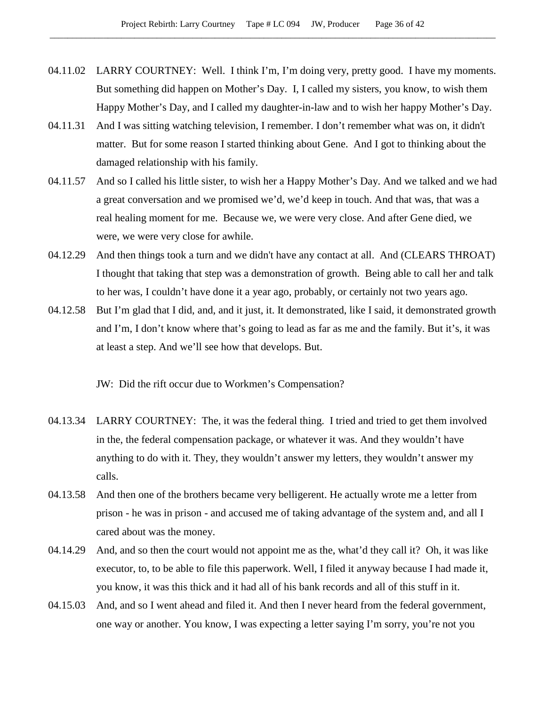- 04.11.02 LARRY COURTNEY: Well. I think I'm, I'm doing very, pretty good. I have my moments. But something did happen on Mother's Day. I, I called my sisters, you know, to wish them Happy Mother's Day, and I called my daughter-in-law and to wish her happy Mother's Day.
- 04.11.31 And I was sitting watching television, I remember. I don't remember what was on, it didn't matter. But for some reason I started thinking about Gene. And I got to thinking about the damaged relationship with his family.
- 04.11.57 And so I called his little sister, to wish her a Happy Mother's Day. And we talked and we had a great conversation and we promised we'd, we'd keep in touch. And that was, that was a real healing moment for me. Because we, we were very close. And after Gene died, we were, we were very close for awhile.
- 04.12.29 And then things took a turn and we didn't have any contact at all. And (CLEARS THROAT) I thought that taking that step was a demonstration of growth. Being able to call her and talk to her was, I couldn't have done it a year ago, probably, or certainly not two years ago.
- 04.12.58 But I'm glad that I did, and, and it just, it. It demonstrated, like I said, it demonstrated growth and I'm, I don't know where that's going to lead as far as me and the family. But it's, it was at least a step. And we'll see how that develops. But.

JW: Did the rift occur due to Workmen's Compensation?

- 04.13.34 LARRY COURTNEY: The, it was the federal thing. I tried and tried to get them involved in the, the federal compensation package, or whatever it was. And they wouldn't have anything to do with it. They, they wouldn't answer my letters, they wouldn't answer my calls.
- 04.13.58 And then one of the brothers became very belligerent. He actually wrote me a letter from prison - he was in prison - and accused me of taking advantage of the system and, and all I cared about was the money.
- 04.14.29 And, and so then the court would not appoint me as the, what'd they call it? Oh, it was like executor, to, to be able to file this paperwork. Well, I filed it anyway because I had made it, you know, it was this thick and it had all of his bank records and all of this stuff in it.
- 04.15.03 And, and so I went ahead and filed it. And then I never heard from the federal government, one way or another. You know, I was expecting a letter saying I'm sorry, you're not you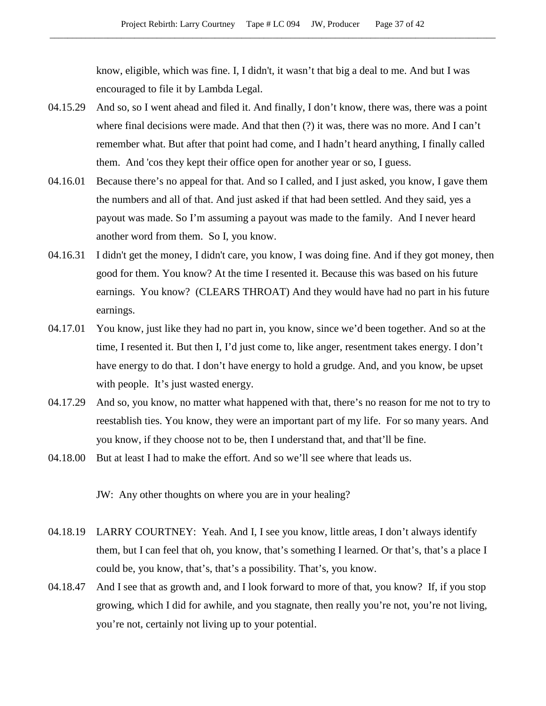know, eligible, which was fine. I, I didn't, it wasn't that big a deal to me. And but I was encouraged to file it by Lambda Legal.

- 04.15.29 And so, so I went ahead and filed it. And finally, I don't know, there was, there was a point where final decisions were made. And that then (?) it was, there was no more. And I can't remember what. But after that point had come, and I hadn't heard anything, I finally called them. And 'cos they kept their office open for another year or so, I guess.
- 04.16.01 Because there's no appeal for that. And so I called, and I just asked, you know, I gave them the numbers and all of that. And just asked if that had been settled. And they said, yes a payout was made. So I'm assuming a payout was made to the family. And I never heard another word from them. So I, you know.
- 04.16.31 I didn't get the money, I didn't care, you know, I was doing fine. And if they got money, then good for them. You know? At the time I resented it. Because this was based on his future earnings. You know? (CLEARS THROAT) And they would have had no part in his future earnings.
- 04.17.01 You know, just like they had no part in, you know, since we'd been together. And so at the time, I resented it. But then I, I'd just come to, like anger, resentment takes energy. I don't have energy to do that. I don't have energy to hold a grudge. And, and you know, be upset with people. It's just wasted energy.
- 04.17.29 And so, you know, no matter what happened with that, there's no reason for me not to try to reestablish ties. You know, they were an important part of my life. For so many years. And you know, if they choose not to be, then I understand that, and that'll be fine.
- 04.18.00 But at least I had to make the effort. And so we'll see where that leads us.

JW: Any other thoughts on where you are in your healing?

- 04.18.19 LARRY COURTNEY: Yeah. And I, I see you know, little areas, I don't always identify them, but I can feel that oh, you know, that's something I learned. Or that's, that's a place I could be, you know, that's, that's a possibility. That's, you know.
- 04.18.47 And I see that as growth and, and I look forward to more of that, you know? If, if you stop growing, which I did for awhile, and you stagnate, then really you're not, you're not living, you're not, certainly not living up to your potential.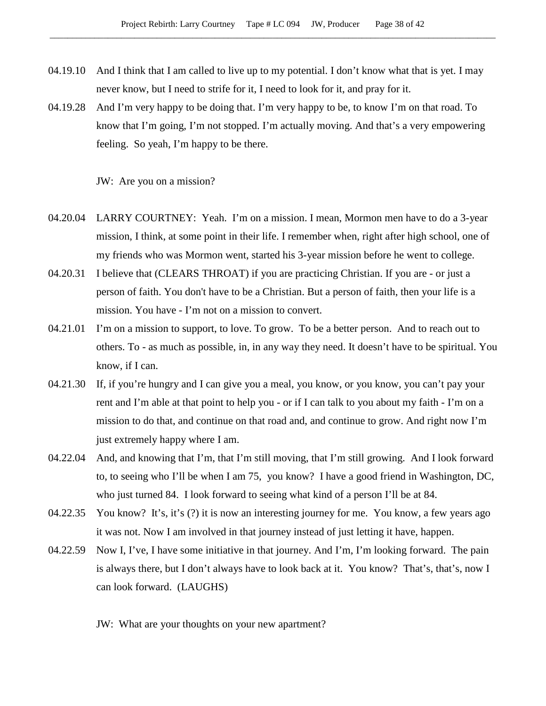- 04.19.10 And I think that I am called to live up to my potential. I don't know what that is yet. I may never know, but I need to strife for it, I need to look for it, and pray for it.
- 04.19.28 And I'm very happy to be doing that. I'm very happy to be, to know I'm on that road. To know that I'm going, I'm not stopped. I'm actually moving. And that's a very empowering feeling. So yeah, I'm happy to be there.

JW: Are you on a mission?

- 04.20.04 LARRY COURTNEY: Yeah. I'm on a mission. I mean, Mormon men have to do a 3-year mission, I think, at some point in their life. I remember when, right after high school, one of my friends who was Mormon went, started his 3-year mission before he went to college.
- 04.20.31 I believe that (CLEARS THROAT) if you are practicing Christian. If you are or just a person of faith. You don't have to be a Christian. But a person of faith, then your life is a mission. You have - I'm not on a mission to convert.
- 04.21.01 I'm on a mission to support, to love. To grow. To be a better person. And to reach out to others. To - as much as possible, in, in any way they need. It doesn't have to be spiritual. You know, if I can.
- 04.21.30 If, if you're hungry and I can give you a meal, you know, or you know, you can't pay your rent and I'm able at that point to help you - or if I can talk to you about my faith - I'm on a mission to do that, and continue on that road and, and continue to grow. And right now I'm just extremely happy where I am.
- 04.22.04 And, and knowing that I'm, that I'm still moving, that I'm still growing. And I look forward to, to seeing who I'll be when I am 75, you know? I have a good friend in Washington, DC, who just turned 84. I look forward to seeing what kind of a person I'll be at 84.
- 04.22.35 You know? It's, it's (?) it is now an interesting journey for me. You know, a few years ago it was not. Now I am involved in that journey instead of just letting it have, happen.
- 04.22.59 Now I, I've, I have some initiative in that journey. And I'm, I'm looking forward. The pain is always there, but I don't always have to look back at it. You know? That's, that's, now I can look forward. (LAUGHS)

JW: What are your thoughts on your new apartment?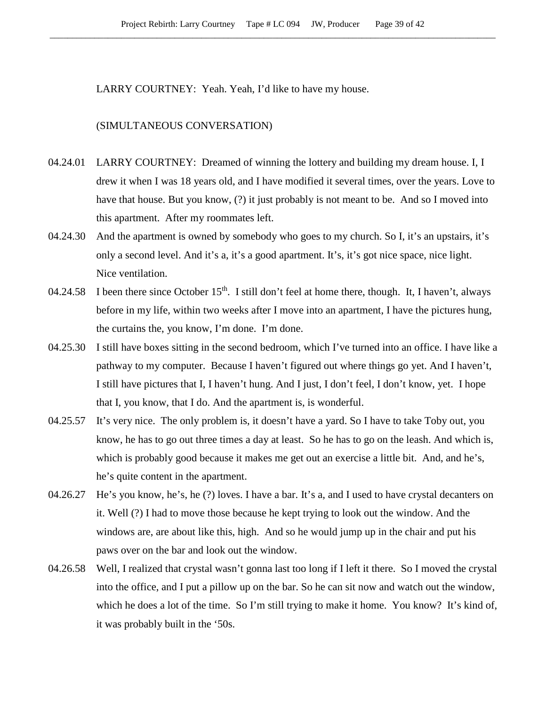LARRY COURTNEY: Yeah. Yeah, I'd like to have my house.

# (SIMULTANEOUS CONVERSATION)

- 04.24.01 LARRY COURTNEY: Dreamed of winning the lottery and building my dream house. I, I drew it when I was 18 years old, and I have modified it several times, over the years. Love to have that house. But you know, (?) it just probably is not meant to be. And so I moved into this apartment. After my roommates left.
- 04.24.30 And the apartment is owned by somebody who goes to my church. So I, it's an upstairs, it's only a second level. And it's a, it's a good apartment. It's, it's got nice space, nice light. Nice ventilation.
- 04.24.58 I been there since October  $15<sup>th</sup>$ . I still don't feel at home there, though. It, I haven't, always before in my life, within two weeks after I move into an apartment, I have the pictures hung, the curtains the, you know, I'm done. I'm done.
- 04.25.30 I still have boxes sitting in the second bedroom, which I've turned into an office. I have like a pathway to my computer. Because I haven't figured out where things go yet. And I haven't, I still have pictures that I, I haven't hung. And I just, I don't feel, I don't know, yet. I hope that I, you know, that I do. And the apartment is, is wonderful.
- 04.25.57 It's very nice. The only problem is, it doesn't have a yard. So I have to take Toby out, you know, he has to go out three times a day at least. So he has to go on the leash. And which is, which is probably good because it makes me get out an exercise a little bit. And, and he's, he's quite content in the apartment.
- 04.26.27 He's you know, he's, he (?) loves. I have a bar. It's a, and I used to have crystal decanters on it. Well (?) I had to move those because he kept trying to look out the window. And the windows are, are about like this, high. And so he would jump up in the chair and put his paws over on the bar and look out the window.
- 04.26.58 Well, I realized that crystal wasn't gonna last too long if I left it there. So I moved the crystal into the office, and I put a pillow up on the bar. So he can sit now and watch out the window, which he does a lot of the time. So I'm still trying to make it home. You know? It's kind of, it was probably built in the '50s.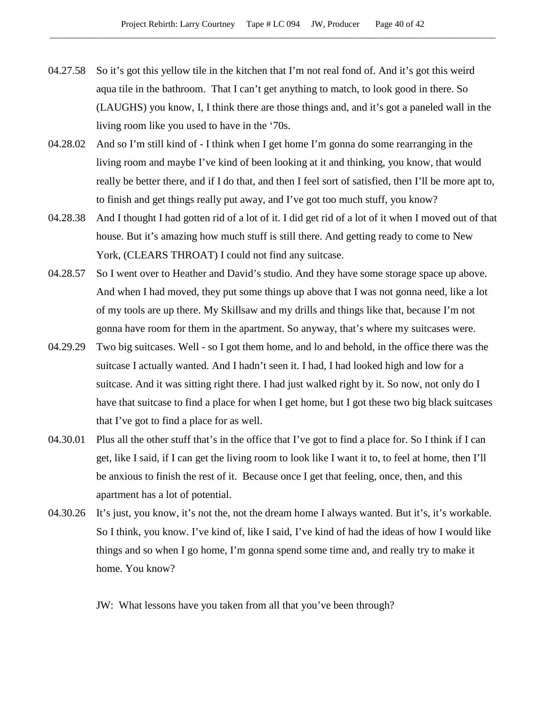- 04.27.58 So it's got this yellow tile in the kitchen that I'm not real fond of. And it's got this weird aqua tile in the bathroom. That I can't get anything to match, to look good in there. So (LAUGHS) you know, I, I think there are those things and, and it's got a paneled wall in the living room like you used to have in the '70s.
- 04.28.02 And so I'm still kind of I think when I get home I'm gonna do some rearranging in the living room and maybe I've kind of been looking at it and thinking, you know, that would really be better there, and if I do that, and then I feel sort of satisfied, then I'll be more apt to, to finish and get things really put away, and I've got too much stuff, you know?
- 04.28.38 And I thought I had gotten rid of a lot of it. I did get rid of a lot of it when I moved out of that house. But it's amazing how much stuff is still there. And getting ready to come to New York, (CLEARS THROAT) I could not find any suitcase.
- 04.28.57 So I went over to Heather and David's studio. And they have some storage space up above. And when I had moved, they put some things up above that I was not gonna need, like a lot of my tools are up there. My Skillsaw and my drills and things like that, because I'm not gonna have room for them in the apartment. So anyway, that's where my suitcases were.
- 04.29.29 Two big suitcases. Well so I got them home, and lo and behold, in the office there was the suitcase I actually wanted. And I hadn't seen it. I had, I had looked high and low for a suitcase. And it was sitting right there. I had just walked right by it. So now, not only do I have that suitcase to find a place for when I get home, but I got these two big black suitcases that I've got to find a place for as well.
- 04.30.01 Plus all the other stuff that's in the office that I've got to find a place for. So I think if I can get, like I said, if I can get the living room to look like I want it to, to feel at home, then I'll be anxious to finish the rest of it. Because once I get that feeling, once, then, and this apartment has a lot of potential.
- 04.30.26 It's just, you know, it's not the, not the dream home I always wanted. But it's, it's workable. So I think, you know. I've kind of, like I said, I've kind of had the ideas of how I would like things and so when I go home, I'm gonna spend some time and, and really try to make it home. You know?

JW: What lessons have you taken from all that you've been through?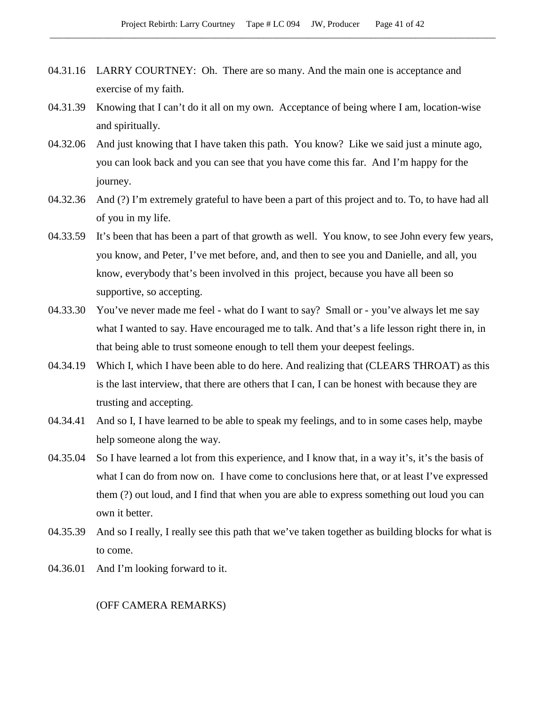- 04.31.16 LARRY COURTNEY: Oh. There are so many. And the main one is acceptance and exercise of my faith.
- 04.31.39 Knowing that I can't do it all on my own. Acceptance of being where I am, location-wise and spiritually.
- 04.32.06 And just knowing that I have taken this path. You know? Like we said just a minute ago, you can look back and you can see that you have come this far. And I'm happy for the journey.
- 04.32.36 And (?) I'm extremely grateful to have been a part of this project and to. To, to have had all of you in my life.
- 04.33.59 It's been that has been a part of that growth as well. You know, to see John every few years, you know, and Peter, I've met before, and, and then to see you and Danielle, and all, you know, everybody that's been involved in this project, because you have all been so supportive, so accepting.
- 04.33.30 You've never made me feel what do I want to say? Small or you've always let me say what I wanted to say. Have encouraged me to talk. And that's a life lesson right there in, in that being able to trust someone enough to tell them your deepest feelings.
- 04.34.19 Which I, which I have been able to do here. And realizing that (CLEARS THROAT) as this is the last interview, that there are others that I can, I can be honest with because they are trusting and accepting.
- 04.34.41 And so I, I have learned to be able to speak my feelings, and to in some cases help, maybe help someone along the way.
- 04.35.04 So I have learned a lot from this experience, and I know that, in a way it's, it's the basis of what I can do from now on. I have come to conclusions here that, or at least I've expressed them (?) out loud, and I find that when you are able to express something out loud you can own it better.
- 04.35.39 And so I really, I really see this path that we've taken together as building blocks for what is to come.
- 04.36.01 And I'm looking forward to it.

(OFF CAMERA REMARKS)